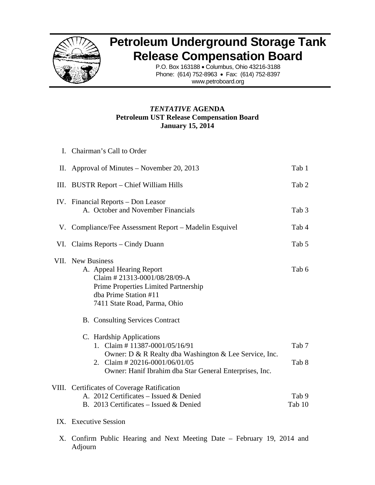

## **Petroleum Underground Storage Tank Release Compensation Board**

P.O. Box 163188 • Columbus, Ohio 43216-3188 Phone: (614) 752-8963 • Fax: (614) 752-8397 www.petroboard.org

## **Petroleum UST Release Compensation Board** *TENTAT TIVE* **AGEN NDA Janu uary 15, 201 4**

| I. Chairman's Call to Order                                                                                                                                                                                              |                  |
|--------------------------------------------------------------------------------------------------------------------------------------------------------------------------------------------------------------------------|------------------|
| II. Approval of Minutes – November 20, 2013                                                                                                                                                                              | Tab 1            |
| III. BUSTR Report – Chief William Hills                                                                                                                                                                                  | Tab 2            |
| IV. Financial Reports – Don Leasor<br>A. October and November Financials                                                                                                                                                 | Tab <sub>3</sub> |
| V. Compliance/Fee Assessment Report – Madelin Esquivel                                                                                                                                                                   | Tab 4            |
| VI. Claims Reports – Cindy Duann                                                                                                                                                                                         | Tab 5            |
| VII. New Business<br>A. Appeal Hearing Report<br>Claim #21313-0001/08/28/09-A<br>Prime Properties Limited Partnership<br>dba Prime Station #11<br>7411 State Road, Parma, Ohio<br><b>B.</b> Consulting Services Contract | Tab 6            |
| C. Hardship Applications<br>1. Claim # 11387-0001/05/16/91<br>Owner: D & R Realty dba Washington & Lee Service, Inc.<br>2. Claim # 20216-0001/06/01/05<br>Owner: Hanif Ibrahim dba Star General Enterprises, Inc.        | Tab 7<br>Tab 8   |
| VIII. Certificates of Coverage Ratification<br>A. 2012 Certificates - Issued & Denied<br>B. 2013 Certificates – Issued & Denied<br>IX. Executive Session                                                                 | Tab 9<br>Tab 10  |

X. Confirm Public Hearing and Next Meeting Date - February 19, 2014 and Adjourn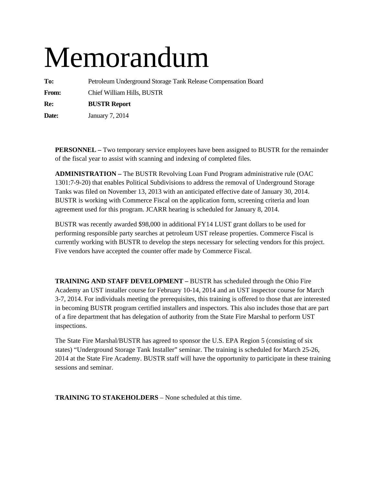# Memorandum

**To:** Petroleum Underground Storage Tank Release Compensation Board **From:** Chief William Hills, BUSTR **Re: BUSTR Report** 

**Date:** January 7, 2014

**PERSONNEL –** Two temporary service employees have been assigned to BUSTR for the remainder of the fiscal year to assist with scanning and indexing of completed files.

**ADMINISTRATION –** The BUSTR Revolving Loan Fund Program administrative rule (OAC 1301:7-9-20) that enables Political Subdivisions to address the removal of Underground Storage Tanks was filed on November 13, 2013 with an anticipated effective date of January 30, 2014. BUSTR is working with Commerce Fiscal on the application form, screening criteria and loan agreement used for this program. JCARR hearing is scheduled for January 8, 2014.

BUSTR was recently awarded \$98,000 in additional FY14 LUST grant dollars to be used for performing responsible party searches at petroleum UST release properties. Commerce Fiscal is currently working with BUSTR to develop the steps necessary for selecting vendors for this project. Five vendors have accepted the counter offer made by Commerce Fiscal.

**TRAINING AND STAFF DEVELOPMENT –** BUSTR has scheduled through the Ohio Fire Academy an UST installer course for February 10-14, 2014 and an UST inspector course for March 3-7, 2014. For individuals meeting the prerequisites, this training is offered to those that are interested in becoming BUSTR program certified installers and inspectors. This also includes those that are part of a fire department that has delegation of authority from the State Fire Marshal to perform UST inspections.

The State Fire Marshal/BUSTR has agreed to sponsor the U.S. EPA Region 5 (consisting of six states) "Underground Storage Tank Installer" seminar. The training is scheduled for March 25-26, 2014 at the State Fire Academy. BUSTR staff will have the opportunity to participate in these training sessions and seminar.

**TRAINING TO STAKEHOLDERS** – None scheduled at this time.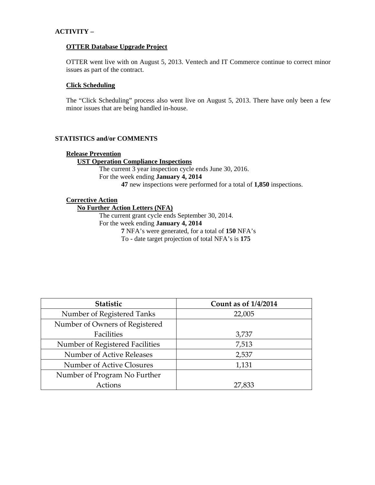## **ACTIVITY –**

### **OTTER Database Upgrade Project**

OTTER went live with on August 5, 2013. Ventech and IT Commerce continue to correct minor issues as part of the contract.

## **Click Scheduling**

The "Click Scheduling" process also went live on August 5, 2013. There have only been a few minor issues that are being handled in-house.

## **STATISTICS and/or COMMENTS**

#### **Release Prevention**

## **UST Operation Compliance Inspections**

The current 3 year inspection cycle ends June 30, 2016. For the week ending **January 4, 2014 47** new inspections were performed for a total of **1,850** inspections.

## **Corrective Action**

### **No Further Action Letters (NFA)**

The current grant cycle ends September 30, 2014. For the week ending **January 4, 2014** 

**7** NFA's were generated, for a total of **150** NFA's

To - date target projection of total NFA's is **175** 

| Statistic                       | <b>Count as of 1/4/2014</b> |
|---------------------------------|-----------------------------|
| Number of Registered Tanks      | 22,005                      |
| Number of Owners of Registered  |                             |
| Facilities                      | 3,737                       |
| Number of Registered Facilities | 7,513                       |
| Number of Active Releases       | 2,537                       |
| Number of Active Closures       | 1,131                       |
| Number of Program No Further    |                             |
| Actions                         | 27,833                      |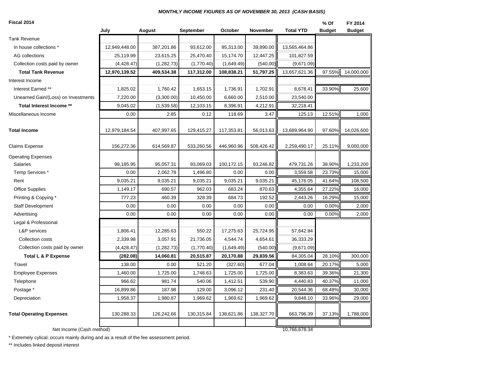#### *MONTHLY INCOME FIGURES AS OF NOVEMBER 30, 2013 (CASH BASIS)*

| Fiscal 2014                         |               |             |            |            |            |                  | % Of          | FY 2014       |
|-------------------------------------|---------------|-------------|------------|------------|------------|------------------|---------------|---------------|
|                                     | July          | August      | September  | October    | November   | <b>Total YTD</b> | <b>Budget</b> | <b>Budget</b> |
| <b>Tank Revenue</b>                 |               |             |            |            |            |                  |               |               |
| In house collections *              | 12,949,448.00 | 387,201.86  | 93,612.00  | 95,313.00  | 39,890.00  | 13,565,464.86    |               |               |
| AG collections                      | 25,119.99     | 23,615.25   | 25,470.40  | 15,174.70  | 12,447.25  | 101,827.59       |               |               |
| Collection costs paid by owner      | (4,428.47)    | (1, 282.73) | (1,770.40) | (1,649.49) | (540.00)   | (9,671.09)       |               |               |
| <b>Total Tank Revenue</b>           | 12,970,139.52 | 409,534.38  | 117,312.00 | 108,838.21 | 51,797.25  | 13,657,621.36    | 97.55%        | 14,000,000    |
| Interest Income                     |               |             |            |            |            |                  |               |               |
| Interest Earned **                  | 1,825.02      | 1,760.42    | 1,653.15   | 1,736.91   | 1,702.91   | 8,678.41         | 33.90%        | 25,600        |
| Unearned Gain/(Loss) on Investments | 7,220.00      | (3,300.00)  | 10,450.00  | 6,660.00   | 2,510.00   | 23,540.00        |               |               |
| Total Interest Income **            | 9,045.02      | (1,539.58)  | 12,103.15  | 8,396.91   | 4,212.91   | 32,218.41        |               |               |
| Miscellaneous Income                | 0.00          | 2.85        | 0.12       | 118.69     | 3.47       | 125.13           | 12.51%        | 1,000         |
| <b>Total Income</b>                 | 12,979,184.54 | 407,997.65  | 129,415.27 | 117,353.81 | 56,013.63  | 13,689,964.90    | 97.60%        | 14,026,600    |
| <b>Claims Expense</b>               | 156,272.36    | 614,569.87  | 533,260.56 | 446,960.96 | 508,426.42 | 2,259,490.17     | 25.11%        | 9,000,000     |
| <b>Operating Expenses</b>           |               |             |            |            |            |                  |               |               |
| <b>Salaries</b>                     | 98,185.95     | 95,057.31   | 93,069.03  | 100,172.15 | 93,246.82  | 479,731.26       | 38.90%        | 1,233,200     |
| Temp Services *                     | 0.00          | 2,062.78    | 1,496.80   | 0.00       | 0.00       | 3,559.58         | 23.73%        | 15,000        |
| Rent                                | 9,035.21      | 9,035.21    | 9,035.21   | 9,035.21   | 9,035.21   | 45,176.05        | 41.64%        | 108,500       |
| <b>Office Supplies</b>              | 1,149.17      | 690.57      | 962.03     | 683.24     | 870.63     | 4,355.64         | 27.22%        | 16,000        |
| Printing & Copying *                | 777.23        | 460.39      | 328.39     | 684.73     | 192.52     | 2,443.26         | 16.29%        | 15,000        |
| Staff Development                   | 0.00          | 0.00        | 0.00       | 0.00       | 0.00       | 0.00             | 0.00%         | 2,000         |
| Advertising                         | 0.00          | 0.00        | 0.00       | 0.00       | 0.00       | 0.00             | 0.00%         | 2,000         |
| Legal & Professional                |               |             |            |            |            |                  |               |               |
| <b>L&amp;P</b> services             | 1,806.41      | 12,285.63   | 550.22     | 17,275.63  | 25,724.95  | 57,642.84        |               |               |
| Collection costs                    | 2,339.98      | 3,057.91    | 21,736.05  | 4,544.74   | 4,654.61   | 36,333.29        |               |               |
| Collection costs paid by owner      | (4, 428.47)   | (1,282.73)  | (1,770.40) | (1,649.49) | (540.00)   | (9,671.09)       |               |               |
| <b>Total L &amp; P Expense</b>      | (282.08)      | 14,060.81   | 20,515.87  | 20,170.88  | 29,839.56  | 84,305.04        | 28.10%        | 300,000       |
| Travel                              | 138.00        | 0.00        | 521.20     | (327.60)   | 677.04     | 1,008.64         | 20.17%        | 5,000         |
| <b>Employee Expenses</b>            | 1,460.00      | 1,725.00    | 1,748.63   | 1,725.00   | 1,725.00   | 8,383.63         | 39.36%        | 21,300        |
| Telephone                           | 966.62        | 981.74      | 540.06     | 1,412.51   | 539.90     | 4,440.83         | 40.37%        | 11,000        |
| Postage *                           | 16,899.86     | 187.98      | 129.00     | 3,096.12   | 231.40     | 20,544.36        | 68.48%        | 30,000        |
| Depreciation                        | 1,958.37      | 1,980.87    | 1,969.62   | 1,969.62   | 1,969.62   | 9,848.10         | 33.96%        | 29,000        |
| <b>Total Operating Expenses</b>     | 130,288.33    | 126,242.66  | 130,315.84 | 138,621.86 | 138,327.70 | 663,796.39       | 37.13%        | 1,788,000     |
| Net Income (Cash method)            |               |             |            |            |            | 10,766,678.34    |               |               |

\* Extremely cylical; occurs mainly during and as a result of the fee assessment period.

\*\* Includes linked deposit interest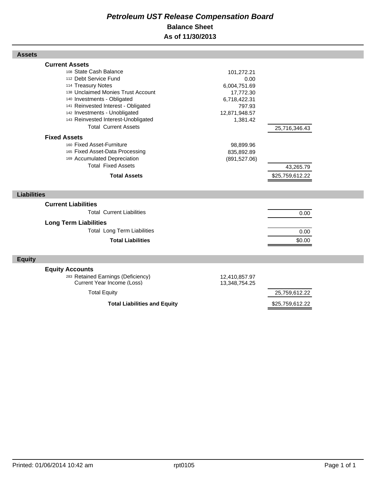## *Petroleum UST Release Compensation Board*  **Balance Sheet As of 11/30/2013**

| <b>Assets</b>                                                                                                                                                                                                                                                                      |                                                                                                        |                 |  |
|------------------------------------------------------------------------------------------------------------------------------------------------------------------------------------------------------------------------------------------------------------------------------------|--------------------------------------------------------------------------------------------------------|-----------------|--|
| <b>Current Assets</b><br>108 State Cash Balance<br>112 Debt Service Fund<br>114 Treasury Notes<br>138 Unclaimed Monies Trust Account<br>140 Investments - Obligated<br>141 Reinvested Interest - Obligated<br>142 Investments - Unobligated<br>143 Reinvested Interest-Unobligated | 101,272.21<br>0.00<br>6,004,751.69<br>17,772.30<br>6,718,422.31<br>797.93<br>12,871,948.57<br>1,381.42 |                 |  |
| <b>Total Current Assets</b><br><b>Fixed Assets</b><br>160 Fixed Asset-Furniture                                                                                                                                                                                                    | 98,899.96                                                                                              | 25,716,346.43   |  |
| 165 Fixed Asset-Data Processing<br>169 Accumulated Depreciation<br><b>Total Fixed Assets</b>                                                                                                                                                                                       | 835,892.89<br>(891, 527.06)                                                                            | 43,265.79       |  |
| <b>Total Assets</b>                                                                                                                                                                                                                                                                |                                                                                                        | \$25,759,612.22 |  |
| <b>Liabilities</b>                                                                                                                                                                                                                                                                 |                                                                                                        |                 |  |
| <b>Current Liabilities</b><br><b>Total Current Liabilities</b>                                                                                                                                                                                                                     |                                                                                                        | 0.00            |  |
| <b>Long Term Liabilities</b><br><b>Total Long Term Liabilities</b><br><b>Total Liabilities</b>                                                                                                                                                                                     |                                                                                                        | 0.00<br>\$0.00  |  |
| <b>Equity</b>                                                                                                                                                                                                                                                                      |                                                                                                        |                 |  |
| <b>Equity Accounts</b><br>283 Retained Earnings (Deficiency)<br>Current Year Income (Loss)                                                                                                                                                                                         | 12,410,857.97<br>13,348,754.25                                                                         |                 |  |
| <b>Total Equity</b>                                                                                                                                                                                                                                                                |                                                                                                        | 25,759,612.22   |  |
| <b>Total Liabilities and Equity</b>                                                                                                                                                                                                                                                |                                                                                                        | \$25,759,612.22 |  |

Г

Г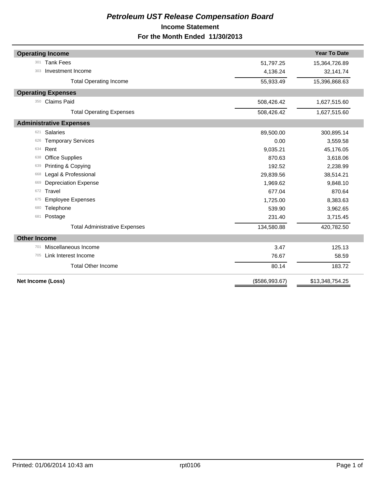## *Petroleum UST Release Compensation Board*  **Income Statement For the Month Ended 11/30/2013**

| <b>Operating Income</b>              |                | <b>Year To Date</b> |
|--------------------------------------|----------------|---------------------|
| <b>Tank Fees</b><br>301              | 51,797.25      | 15,364,726.89       |
| Investment Income<br>303             | 4,136.24       | 32,141.74           |
| <b>Total Operating Income</b>        | 55,933.49      | 15,396,868.63       |
| <b>Operating Expenses</b>            |                |                     |
| <b>Claims Paid</b><br>350            | 508,426.42     | 1,627,515.60        |
| <b>Total Operating Expenses</b>      | 508,426.42     | 1,627,515.60        |
| <b>Administrative Expenses</b>       |                |                     |
| Salaries<br>621                      | 89,500.00      | 300,895.14          |
| <b>Temporary Services</b><br>626     | 0.00           | 3,559.58            |
| Rent<br>634                          | 9,035.21       | 45,176.05           |
| <b>Office Supplies</b><br>638        | 870.63         | 3,618.06            |
| Printing & Copying<br>639            | 192.52         | 2,238.99            |
| Legal & Professional<br>668          | 29,839.56      | 38,514.21           |
| <b>Depreciation Expense</b><br>669   | 1,969.62       | 9,848.10            |
| Travel<br>672                        | 677.04         | 870.64              |
| <b>Employee Expenses</b><br>675      | 1,725.00       | 8,383.63            |
| Telephone<br>680                     | 539.90         | 3,962.65            |
| Postage<br>681                       | 231.40         | 3,715.45            |
| <b>Total Administrative Expenses</b> | 134,580.88     | 420,782.50          |
| <b>Other Income</b>                  |                |                     |
| Miscellaneous Income<br>701          | 3.47           | 125.13              |
| Link Interest Income<br>705          | 76.67          | 58.59               |
| <b>Total Other Income</b>            | 80.14          | 183.72              |
| Net Income (Loss)                    | (\$586,993.67) | \$13,348,754.25     |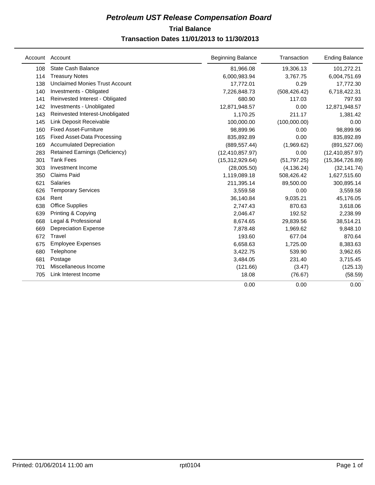## **Trial Balance** *Petroleum UST Release Compensation Board*

## **Transaction Dates 11/01/2013 to 11/30/2013**

|     | Account Account                       | <b>Beginning Balance</b> | Transaction   | <b>Ending Balance</b> |
|-----|---------------------------------------|--------------------------|---------------|-----------------------|
| 108 | <b>State Cash Balance</b>             | 81,966.08                | 19,306.13     | 101,272.21            |
| 114 | <b>Treasury Notes</b>                 | 6,000,983.94             | 3,767.75      | 6,004,751.69          |
| 138 | <b>Unclaimed Monies Trust Account</b> | 17,772.01                | 0.29          | 17,772.30             |
| 140 | Investments - Obligated               | 7,226,848.73             | (508, 426.42) | 6,718,422.31          |
| 141 | Reinvested Interest - Obligated       | 680.90                   | 117.03        | 797.93                |
| 142 | Investments - Unobligated             | 12,871,948.57            | 0.00          | 12,871,948.57         |
| 143 | Reinvested Interest-Unobligated       | 1,170.25                 | 211.17        | 1,381.42              |
| 145 | Link Deposit Receivable               | 100,000.00               | (100,000.00)  | 0.00                  |
| 160 | <b>Fixed Asset-Furniture</b>          | 98,899.96                | 0.00          | 98,899.96             |
| 165 | <b>Fixed Asset-Data Processing</b>    | 835,892.89               | 0.00          | 835,892.89            |
| 169 | <b>Accumulated Depreciation</b>       | (889, 557.44)            | (1,969.62)    | (891, 527.06)         |
| 283 | <b>Retained Earnings (Deficiency)</b> | (12, 410, 857.97)        | 0.00          | (12, 410, 857.97)     |
| 301 | <b>Tank Fees</b>                      | (15,312,929.64)          | (51, 797.25)  | (15,364,726.89)       |
| 303 | Investment Income                     | (28,005.50)              | (4, 136.24)   | (32, 141.74)          |
| 350 | <b>Claims Paid</b>                    | 1,119,089.18             | 508,426.42    | 1,627,515.60          |
| 621 | <b>Salaries</b>                       | 211,395.14               | 89,500.00     | 300,895.14            |
| 626 | <b>Temporary Services</b>             | 3,559.58                 | 0.00          | 3,559.58              |
| 634 | Rent                                  | 36,140.84                | 9,035.21      | 45,176.05             |
| 638 | <b>Office Supplies</b>                | 2,747.43                 | 870.63        | 3,618.06              |
| 639 | Printing & Copying                    | 2,046.47                 | 192.52        | 2,238.99              |
| 668 | Legal & Professional                  | 8,674.65                 | 29,839.56     | 38,514.21             |
| 669 | <b>Depreciation Expense</b>           | 7,878.48                 | 1,969.62      | 9,848.10              |
| 672 | Travel                                | 193.60                   | 677.04        | 870.64                |
| 675 | <b>Employee Expenses</b>              | 6,658.63                 | 1,725.00      | 8,383.63              |
| 680 | Telephone                             | 3,422.75                 | 539.90        | 3,962.65              |
| 681 | Postage                               | 3,484.05                 | 231.40        | 3,715.45              |
| 701 | Miscellaneous Income                  | (121.66)                 | (3.47)        | (125.13)              |
| 705 | Link Interest Income                  | 18.08                    | (76.67)       | (58.59)               |
|     |                                       | 0.00                     | 0.00          | 0.00                  |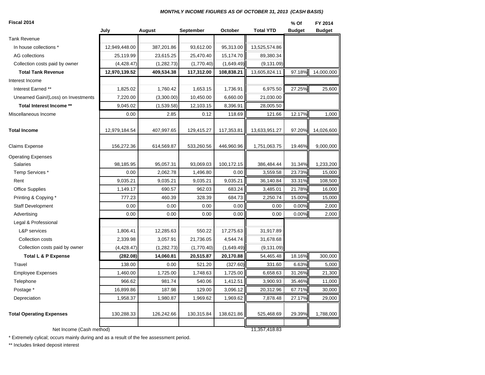#### *MONTHLY INCOME FIGURES AS OF OCTOBER 31, 2013 (CASH BASIS)*

| Fiscal 2014                         |               |             |            |            |                  | % Of          | FY 2014       |
|-------------------------------------|---------------|-------------|------------|------------|------------------|---------------|---------------|
|                                     | July          | August      | September  | October    | <b>Total YTD</b> | <b>Budget</b> | <b>Budget</b> |
| <b>Tank Revenue</b>                 |               |             |            |            |                  |               |               |
| In house collections *              | 12,949,448.00 | 387,201.86  | 93,612.00  | 95,313.00  | 13,525,574.86    |               |               |
| AG collections                      | 25,119.99     | 23,615.25   | 25,470.40  | 15,174.70  | 89,380.34        |               |               |
| Collection costs paid by owner      | (4,428.47)    | (1, 282.73) | (1,770.40) | (1,649.49) | (9, 131.09)      |               |               |
| <b>Total Tank Revenue</b>           | 12,970,139.52 | 409,534.38  | 117,312.00 | 108,838.21 | 13,605,824.11    | 97.18%        | 14,000,000    |
| Interest Income                     |               |             |            |            |                  |               |               |
| Interest Earned **                  | 1,825.02      | 1,760.42    | 1,653.15   | 1,736.91   | 6,975.50         | 27.25%        | 25,600        |
| Unearned Gain/(Loss) on Investments | 7,220.00      | (3,300.00)  | 10,450.00  | 6,660.00   | 21,030.00        |               |               |
| Total Interest Income **            | 9,045.02      | (1,539.58)  | 12,103.15  | 8,396.91   | 28,005.50        |               |               |
| Miscellaneous Income                | 0.00          | 2.85        | 0.12       | 118.69     | 121.66           | 12.17%        | 1,000         |
| <b>Total Income</b>                 | 12,979,184.54 | 407,997.65  | 129,415.27 | 117,353.81 | 13,633,951.27    | 97.20%        | 14,026,600    |
| Claims Expense                      | 156,272.36    | 614,569.87  | 533,260.56 | 446,960.96 | 1,751,063.75     | 19.46%        | 9,000,000     |
| <b>Operating Expenses</b>           |               |             |            |            |                  |               |               |
| <b>Salaries</b>                     | 98,185.95     | 95,057.31   | 93,069.03  | 100,172.15 | 386,484.44       | 31.34%        | 1,233,200     |
| Temp Services *                     | 0.00          | 2,062.78    | 1,496.80   | 0.00       | 3,559.58         | 23.73%        | 15,000        |
| Rent                                | 9,035.21      | 9,035.21    | 9,035.21   | 9,035.21   | 36,140.84        | 33.31%        | 108,500       |
| <b>Office Supplies</b>              | 1,149.17      | 690.57      | 962.03     | 683.24     | 3,485.01         | 21.78%        | 16,000        |
| Printing & Copying *                | 777.23        | 460.39      | 328.39     | 684.73     | 2,250.74         | 15.00%        | 15,000        |
| <b>Staff Development</b>            | 0.00          | 0.00        | 0.00       | 0.00       | 0.00             | 0.00%         | 2,000         |
| Advertising                         | 0.00          | 0.00        | 0.00       | 0.00       | 0.00             | 0.00%         | 2,000         |
| Legal & Professional                |               |             |            |            |                  |               |               |
| <b>L&amp;P</b> services             | 1,806.41      | 12,285.63   | 550.22     | 17,275.63  | 31,917.89        |               |               |
| Collection costs                    | 2,339.98      | 3,057.91    | 21,736.05  | 4,544.74   | 31,678.68        |               |               |
| Collection costs paid by owner      | (4,428.47)    | (1, 282.73) | (1,770.40) | (1,649.49) | (9, 131.09)      |               |               |
| Total L & P Expense                 | (282.08)      | 14,060.81   | 20,515.87  | 20,170.88  | 54,465.48        | 18.16%        | 300,000       |
| Travel                              | 138.00        | 0.00        | 521.20     | (327.60)   | 331.60           | 6.63%         | 5,000         |
| <b>Employee Expenses</b>            | 1,460.00      | 1,725.00    | 1,748.63   | 1,725.00   | 6,658.63         | 31.26%        | 21,300        |
| Telephone                           | 966.62        | 981.74      | 540.06     | 1,412.51   | 3,900.93         | 35.46%        | 11,000        |
| Postage *                           | 16,899.86     | 187.98      | 129.00     | 3,096.12   | 20,312.96        | 67.71%        | 30,000        |
| Depreciation                        | 1,958.37      | 1,980.87    | 1,969.62   | 1,969.62   | 7,878.48         | 27.17%        | 29,000        |
| <b>Total Operating Expenses</b>     | 130,288.33    | 126,242.66  | 130,315.84 | 138,621.86 | 525,468.69       | 29.39%        | 1,788,000     |
| Net Income (Cash method)            |               |             |            |            | 11,357,418.83    |               |               |

\* Extremely cylical; occurs mainly during and as a result of the fee assessment period.

\*\* Includes linked deposit interest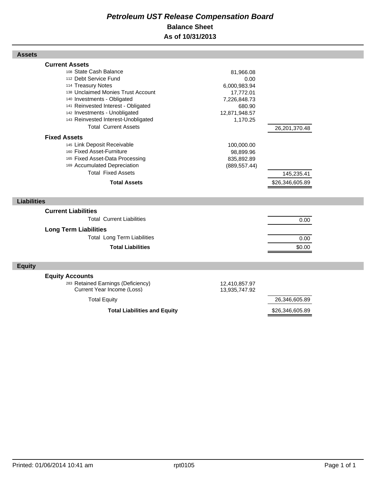## *Petroleum UST Release Compensation Board*  **Balance Sheet As of 10/31/2013**

| <b>Assets</b>                                                                                                                                                                                                                                                                                                     |                                                                                                       |                               |  |
|-------------------------------------------------------------------------------------------------------------------------------------------------------------------------------------------------------------------------------------------------------------------------------------------------------------------|-------------------------------------------------------------------------------------------------------|-------------------------------|--|
| <b>Current Assets</b><br>108 State Cash Balance<br>112 Debt Service Fund<br>114 Treasury Notes<br>138 Unclaimed Monies Trust Account<br>140 Investments - Obligated<br>141 Reinvested Interest - Obligated<br>142 Investments - Unobligated<br>143 Reinvested Interest-Unobligated<br><b>Total Current Assets</b> | 81,966.08<br>0.00<br>6,000,983.94<br>17,772.01<br>7,226,848.73<br>680.90<br>12,871,948.57<br>1,170.25 | 26,201,370.48                 |  |
| <b>Fixed Assets</b>                                                                                                                                                                                                                                                                                               |                                                                                                       |                               |  |
| 145 Link Deposit Receivable<br>160 Fixed Asset-Furniture<br>165 Fixed Asset-Data Processing<br>169 Accumulated Depreciation<br><b>Total Fixed Assets</b><br><b>Total Assets</b>                                                                                                                                   | 100,000.00<br>98,899.96<br>835,892.89<br>(889, 557.44)                                                | 145,235.41<br>\$26,346,605.89 |  |
|                                                                                                                                                                                                                                                                                                                   |                                                                                                       |                               |  |
| <b>Liabilities</b>                                                                                                                                                                                                                                                                                                |                                                                                                       |                               |  |
| <b>Current Liabilities</b><br><b>Total Current Liabilities</b><br><b>Long Term Liabilities</b><br><b>Total Long Term Liabilities</b><br><b>Total Liabilities</b>                                                                                                                                                  |                                                                                                       | 0.00<br>0.00<br>\$0.00        |  |
| <b>Equity</b>                                                                                                                                                                                                                                                                                                     |                                                                                                       |                               |  |
| <b>Equity Accounts</b><br>283 Retained Earnings (Deficiency)<br><b>Current Year Income (Loss)</b>                                                                                                                                                                                                                 | 12,410,857.97<br>13,935,747.92                                                                        |                               |  |
| <b>Total Equity</b>                                                                                                                                                                                                                                                                                               |                                                                                                       | 26,346,605.89                 |  |
| <b>Total Liabilities and Equity</b>                                                                                                                                                                                                                                                                               |                                                                                                       | \$26,346,605.89               |  |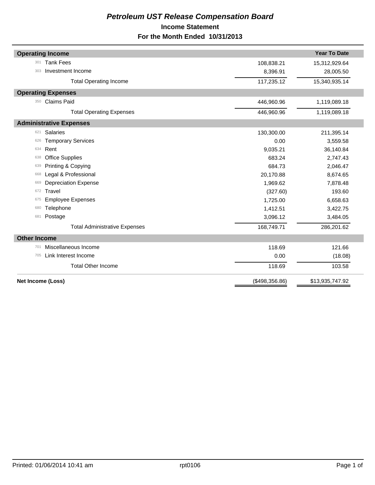## *Petroleum UST Release Compensation Board*  **Income Statement For the Month Ended 10/31/2013**

| <b>Operating Income</b>              |                | <b>Year To Date</b> |
|--------------------------------------|----------------|---------------------|
| <b>Tank Fees</b><br>301              | 108,838.21     | 15,312,929.64       |
| Investment Income<br>303             | 8,396.91       | 28,005.50           |
| <b>Total Operating Income</b>        | 117,235.12     | 15,340,935.14       |
| <b>Operating Expenses</b>            |                |                     |
| <b>Claims Paid</b><br>350            | 446,960.96     | 1,119,089.18        |
| <b>Total Operating Expenses</b>      | 446,960.96     | 1,119,089.18        |
| <b>Administrative Expenses</b>       |                |                     |
| <b>Salaries</b><br>621               | 130,300.00     | 211,395.14          |
| <b>Temporary Services</b><br>626     | 0.00           | 3,559.58            |
| Rent<br>634                          | 9,035.21       | 36,140.84           |
| <b>Office Supplies</b><br>638        | 683.24         | 2,747.43            |
| Printing & Copying<br>639            | 684.73         | 2,046.47            |
| Legal & Professional<br>668          | 20,170.88      | 8,674.65            |
| <b>Depreciation Expense</b><br>669   | 1,969.62       | 7,878.48            |
| Travel<br>672                        | (327.60)       | 193.60              |
| <b>Employee Expenses</b><br>675      | 1,725.00       | 6,658.63            |
| Telephone<br>680                     | 1,412.51       | 3,422.75            |
| Postage<br>681                       | 3,096.12       | 3,484.05            |
| <b>Total Administrative Expenses</b> | 168,749.71     | 286,201.62          |
| <b>Other Income</b>                  |                |                     |
| Miscellaneous Income<br>701          | 118.69         | 121.66              |
| Link Interest Income<br>705          | 0.00           | (18.08)             |
| <b>Total Other Income</b>            | 118.69         | 103.58              |
| Net Income (Loss)                    | (\$498,356.86) | \$13,935,747.92     |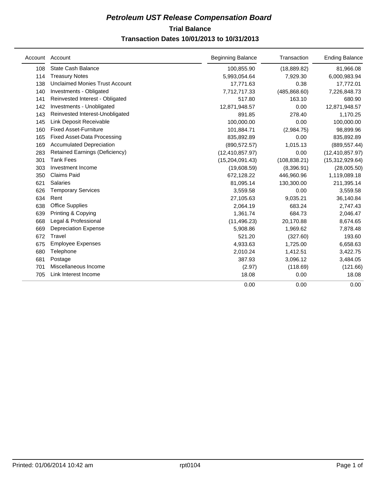## **Trial Balance** *Petroleum UST Release Compensation Board*

## **Transaction Dates 10/01/2013 to 10/31/2013**

|     | Account Account                       | <b>Beginning Balance</b> | Transaction   | <b>Ending Balance</b> |
|-----|---------------------------------------|--------------------------|---------------|-----------------------|
| 108 | <b>State Cash Balance</b>             | 100,855.90               | (18, 889.82)  | 81,966.08             |
| 114 | <b>Treasury Notes</b>                 | 5,993,054.64             | 7,929.30      | 6,000,983.94          |
| 138 | <b>Unclaimed Monies Trust Account</b> | 17,771.63                | 0.38          | 17,772.01             |
| 140 | Investments - Obligated               | 7,712,717.33             | (485, 868.60) | 7,226,848.73          |
| 141 | Reinvested Interest - Obligated       | 517.80                   | 163.10        | 680.90                |
| 142 | Investments - Unobligated             | 12,871,948.57            | 0.00          | 12,871,948.57         |
| 143 | Reinvested Interest-Unobligated       | 891.85                   | 278.40        | 1,170.25              |
| 145 | Link Deposit Receivable               | 100,000.00               | 0.00          | 100,000.00            |
| 160 | <b>Fixed Asset-Furniture</b>          | 101,884.71               | (2,984.75)    | 98,899.96             |
| 165 | <b>Fixed Asset-Data Processing</b>    | 835,892.89               | 0.00          | 835,892.89            |
| 169 | <b>Accumulated Depreciation</b>       | (890, 572.57)            | 1,015.13      | (889, 557.44)         |
| 283 | <b>Retained Earnings (Deficiency)</b> | (12, 410, 857.97)        | 0.00          | (12, 410, 857.97)     |
| 301 | <b>Tank Fees</b>                      | (15, 204, 091.43)        | (108, 838.21) | (15,312,929.64)       |
| 303 | Investment Income                     | (19,608.59)              | (8,396.91)    | (28,005.50)           |
| 350 | <b>Claims Paid</b>                    | 672,128.22               | 446,960.96    | 1,119,089.18          |
| 621 | <b>Salaries</b>                       | 81,095.14                | 130,300.00    | 211,395.14            |
| 626 | <b>Temporary Services</b>             | 3,559.58                 | 0.00          | 3,559.58              |
| 634 | Rent                                  | 27,105.63                | 9,035.21      | 36,140.84             |
| 638 | <b>Office Supplies</b>                | 2,064.19                 | 683.24        | 2,747.43              |
| 639 | Printing & Copying                    | 1,361.74                 | 684.73        | 2,046.47              |
| 668 | Legal & Professional                  | (11, 496.23)             | 20,170.88     | 8,674.65              |
| 669 | <b>Depreciation Expense</b>           | 5,908.86                 | 1,969.62      | 7,878.48              |
| 672 | Travel                                | 521.20                   | (327.60)      | 193.60                |
| 675 | <b>Employee Expenses</b>              | 4,933.63                 | 1,725.00      | 6,658.63              |
| 680 | Telephone                             | 2,010.24                 | 1,412.51      | 3,422.75              |
| 681 | Postage                               | 387.93                   | 3,096.12      | 3,484.05              |
| 701 | Miscellaneous Income                  | (2.97)                   | (118.69)      | (121.66)              |
| 705 | Link Interest Income                  | 18.08                    | 0.00          | 18.08                 |
|     |                                       | 0.00                     | 0.00          | 0.00                  |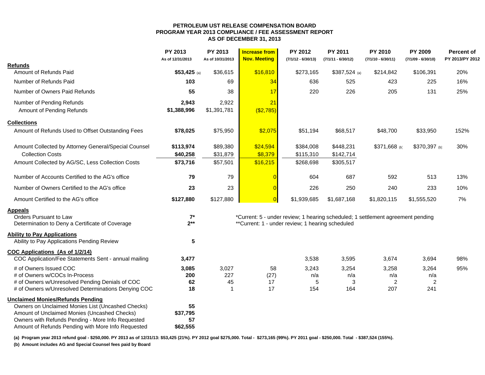#### **PETROLEUM UST RELEASE COMPENSATION BOARD PROGRAM YEAR 2013 COMPLIANCE / FEE ASSESSMENT REPORT AS OF DECEMBER 31, 2013**

|                                                                                                   | PY 2013<br>As of 12/31/2013 | PY 2013<br>As of 10/31/2013 | <b>Increase from</b><br><b>Nov. Meeting</b>                                     | <b>PY 2012</b><br>$(7/1/12 - 6/30/13)$ | <b>PY 2011</b><br>$(7/1/11 - 6/30/12)$ | PY 2010<br>$(7/1/10 - 6/30/11)$ | <b>PY 2009</b><br>$(7/1/09 - 6/30/10)$ | <b>Percent of</b><br>PY 2013/PY 2012 |
|---------------------------------------------------------------------------------------------------|-----------------------------|-----------------------------|---------------------------------------------------------------------------------|----------------------------------------|----------------------------------------|---------------------------------|----------------------------------------|--------------------------------------|
| <b>Refunds</b>                                                                                    |                             |                             |                                                                                 |                                        |                                        |                                 |                                        |                                      |
| Amount of Refunds Paid                                                                            | \$53,425 (a)                | \$36,615                    | \$16,810                                                                        | \$273,165                              | $$387,524$ (a)                         | \$214,842                       | \$106,391                              | 20%                                  |
| Number of Refunds Paid                                                                            | 103                         | 69                          | 34                                                                              | 636                                    | 525                                    | 423                             | 225                                    | 16%                                  |
| Number of Owners Paid Refunds                                                                     | 55                          | 38                          | 17                                                                              | 220                                    | 226                                    | 205                             | 131                                    | 25%                                  |
| Number of Pending Refunds                                                                         | 2,943                       | 2,922                       | 21                                                                              |                                        |                                        |                                 |                                        |                                      |
| Amount of Pending Refunds                                                                         | \$1,388,996                 | \$1,391,781                 | $($ \$2,785)                                                                    |                                        |                                        |                                 |                                        |                                      |
| <b>Collections</b>                                                                                |                             |                             |                                                                                 |                                        |                                        |                                 |                                        |                                      |
| Amount of Refunds Used to Offset Outstanding Fees                                                 | \$78,025                    | \$75,950                    | \$2,075                                                                         | \$51,194                               | \$68,517                               | \$48,700                        | \$33,950                               | 152%                                 |
| Amount Collected by Attorney General/Special Counsel                                              | \$113,974                   | \$89,380                    | \$24,594                                                                        | \$384,008                              | \$448,231                              | \$371,668 (b)                   | \$370,397 (b)                          | 30%                                  |
| <b>Collection Costs</b>                                                                           | \$40,258                    | \$31,879                    | \$8,379                                                                         | \$115,310                              | \$142,714                              |                                 |                                        |                                      |
| Amount Collected by AG/SC, Less Collection Costs                                                  | \$73,716                    | \$57,501                    | \$16,215                                                                        | \$268,698                              | \$305,517                              |                                 |                                        |                                      |
| Number of Accounts Certified to the AG's office                                                   | 79                          | 79                          |                                                                                 | 604                                    | 687                                    | 592                             | 513                                    | 13%                                  |
| Number of Owners Certified to the AG's office                                                     | 23                          | 23                          |                                                                                 | 226                                    | 250                                    | 240                             | 233                                    | 10%                                  |
| Amount Certified to the AG's office                                                               | \$127,880                   | \$127,880                   | $\Omega$                                                                        | \$1,939,685                            | \$1,687,168                            | \$1,820,115                     | \$1,555,520                            | 7%                                   |
| <b>Appeals</b>                                                                                    |                             |                             |                                                                                 |                                        |                                        |                                 |                                        |                                      |
| Orders Pursuant to Law                                                                            | $7^*$                       |                             | *Current: 5 - under review; 1 hearing scheduled; 1 settlement agreement pending |                                        |                                        |                                 |                                        |                                      |
| Determination to Deny a Certificate of Coverage                                                   | $2***$                      |                             | **Current: 1 - under review; 1 hearing scheduled                                |                                        |                                        |                                 |                                        |                                      |
| <b>Ability to Pay Applications</b><br>Ability to Pay Applications Pending Review                  | 5                           |                             |                                                                                 |                                        |                                        |                                 |                                        |                                      |
|                                                                                                   |                             |                             |                                                                                 |                                        |                                        |                                 |                                        |                                      |
| COC Applications (As of 1/2/14)<br>COC Application/Fee Statements Sent - annual mailing           | 3,477                       |                             |                                                                                 | 3,538                                  | 3,595                                  | 3,674                           | 3,694                                  | 98%                                  |
| # of Owners Issued COC                                                                            | 3,085                       | 3,027                       | 58                                                                              | 3,243                                  | 3,254                                  | 3,258                           | 3,264                                  | 95%                                  |
| # of Owners w/COCs In-Process                                                                     | 200                         | 227                         | (27)                                                                            | n/a                                    | n/a                                    | n/a                             | n/a                                    |                                      |
| # of Owners w/Unresolved Pending Denials of COC                                                   | 62                          | 45                          | 17                                                                              | 5                                      | 3                                      | 2                               | $\overline{c}$                         |                                      |
| # of Owners w/Unresolved Determinations Denying COC                                               | 18                          | $\overline{1}$              | 17                                                                              | 154                                    | 164                                    | 207                             | 241                                    |                                      |
| <b>Unclaimed Monies/Refunds Pending</b>                                                           |                             |                             |                                                                                 |                                        |                                        |                                 |                                        |                                      |
| Owners on Unclaimed Monies List (Uncashed Checks)                                                 | 55                          |                             |                                                                                 |                                        |                                        |                                 |                                        |                                      |
| Amount of Unclaimed Monies (Uncashed Checks)<br>Owners with Refunds Pending - More Info Requested | \$37,795<br>57              |                             |                                                                                 |                                        |                                        |                                 |                                        |                                      |
| Amount of Refunds Pending with More Info Requested                                                | \$62,555                    |                             |                                                                                 |                                        |                                        |                                 |                                        |                                      |

**(a) Program year 2013 refund goal - \$250,000. PY 2013 as of 12/31/13: \$53,425 (21%). PY 2012 goal \$275,000. Total - \$273,165 (99%). PY 2011 goal - \$250,000. Total - \$387,524 (155%).** 

**(b) Amount includes AG and Special Counsel fees paid by Board**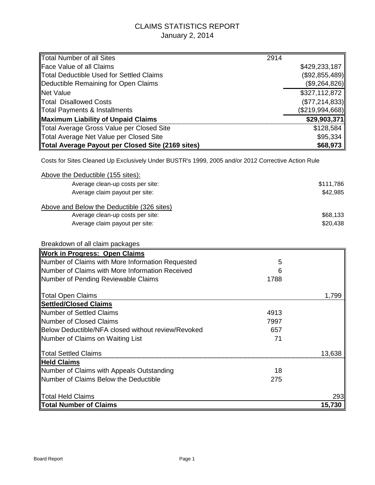## CLAIMS STATISTICS REPORT January 2, 2014

| Total Number of all Sites                         | 2914            |
|---------------------------------------------------|-----------------|
| <b>Face Value of all Claims</b>                   | \$429,233,187   |
| Total Deductible Used for Settled Claims          | (\$92,855,489)  |
| Deductible Remaining for Open Claims              | (\$9,264,826)   |
| Net Value                                         | \$327,112,872   |
| <b>Total Disallowed Costs</b>                     | (\$77,214,833)  |
| Total Payments & Installments                     | (\$219,994,668) |
| Maximum Liability of Unpaid Claims                | \$29,903,371    |
| Total Average Gross Value per Closed Site         | \$128,584       |
| Total Average Net Value per Closed Site           | \$95,334        |
| Total Average Payout per Closed Site (2169 sites) | \$68,973        |

Costs for Sites Cleaned Up Exclusively Under BUSTR's 1999, 2005 and/or 2012 Corrective Action Rule

| Above the Deductible (155 sites):                  |      |           |
|----------------------------------------------------|------|-----------|
| Average clean-up costs per site:                   |      | \$111,786 |
| Average claim payout per site:                     |      | \$42,985  |
| Above and Below the Deductible (326 sites)         |      |           |
| Average clean-up costs per site:                   |      | \$68,133  |
| Average claim payout per site:                     |      | \$20,438  |
| Breakdown of all claim packages                    |      |           |
| <b>Work in Progress: Open Claims</b>               |      |           |
| Number of Claims with More Information Requested   | 5    |           |
| Number of Claims with More Information Received    | 6    |           |
| Number of Pending Reviewable Claims                | 1788 |           |
| Total Open Claims                                  |      | 1,799     |
| <b>Settled/Closed Claims</b>                       |      |           |
| Number of Settled Claims                           | 4913 |           |
| Number of Closed Claims                            | 7997 |           |
| Below Deductible/NFA closed without review/Revoked | 657  |           |
| Number of Claims on Waiting List                   | 71   |           |
| Total Settled Claims                               |      | 13,638    |
| <b>Held Claims</b>                                 |      |           |
| Number of Claims with Appeals Outstanding          | 18   |           |
| Number of Claims Below the Deductible              | 275  |           |
| <b>Total Held Claims</b>                           |      | 293       |
| Total Number of Claims                             |      | 15,730    |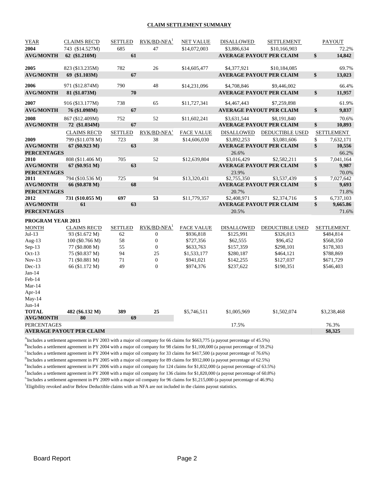#### **CLAIM SETTLEMENT SUMMARY**

| <b>YEAR</b>        | <b>CLAIMS REC'D</b>             | <b>SETTLED</b> | $RVK/BD-NFA1$           | <b>NET VALUE</b>  | <b>DISALLOWED</b> | <b>SETTLEMENT</b>               |                           | PAYOUT            |
|--------------------|---------------------------------|----------------|-------------------------|-------------------|-------------------|---------------------------------|---------------------------|-------------------|
| 2004               | 743 (\$14.527M)                 | 685            | 47                      | \$14,072,003      | \$3,886,634       | \$10,166,903                    |                           | 72.2%             |
| <b>AVG/MONTH</b>   | 62 (\$1.210M)                   | 61             |                         |                   |                   | <b>AVERAGE PAYOUT PER CLAIM</b> | $\boldsymbol{\mathsf{s}}$ | 14,842            |
| 2005               | 823 (\$13.235M)                 | 782            | 26                      | \$14,605,477      | \$4,377,921       | \$10,184,085                    |                           | 69.7%             |
|                    |                                 |                |                         |                   |                   |                                 |                           |                   |
| <b>AVG/MONTH</b>   | 69 (\$1.103M)                   | 67             |                         |                   |                   | <b>AVERAGE PAYOUT PER CLAIM</b> | $\mathbf{s}$              | 13,023            |
| 2006               | 971 (\$12.874M)                 | 790            | 48                      | \$14,231,096      | \$4,708,846       | \$9,446,002                     |                           | 66.4%             |
| <b>AVG/MONTH</b>   | 81 (\$1.073M)                   | 70             |                         |                   |                   | <b>AVERAGE PAYOUT PER CLAIM</b> | \$                        | 11,957            |
| 2007               | 916 (\$13.177M)                 | 738            | 65                      | \$11,727,341      | \$4,467,443       | \$7,259,898                     |                           | 61.9%             |
| <b>AVG/MONTH</b>   | 76 (\$1.098M)                   | 67             |                         |                   |                   | <b>AVERAGE PAYOUT PER CLAIM</b> | \$                        | 9,837             |
| 2008               | 867 (\$12.409M)                 | 752            | 52                      | \$11,602,241      | \$3,631,544       | \$8,191,840                     |                           | 70.6%             |
| <b>AVG/MONTH</b>   | 72 (\$1.034M)                   | 67             |                         |                   |                   | <b>AVERAGE PAYOUT PER CLAIM</b> | \$                        | 10,893            |
|                    | <b>CLAIMS REC'D</b>             | <b>SETTLED</b> | RVK/BD-NFA <sup>1</sup> | <b>FACE VALUE</b> | DISALLOWED        | DEDUCTIBLE USED                 |                           | <b>SETTLEMENT</b> |
| 2009               | 799 (\$11.078 M)                | 723            | 38                      | \$14,606,030      | \$3,892,253       | \$3,081,606                     | \$                        | 7,632,171         |
| <b>AVG/MONTH</b>   | 67 (\$0.923 M)                  | 63             |                         |                   |                   | <b>AVERAGE PAYOUT PER CLAIM</b> | \$                        | 10,556            |
| <b>PERCENTAGES</b> |                                 |                |                         |                   | 26.6%             |                                 |                           | 66.2%             |
| 2010               | 808 (\$11.406 M)                | 705            | 52                      | \$12,639,804      | \$3,016,429       | \$2,582,211                     | \$                        | 7,041,164         |
| <b>AVG/MONTH</b>   | 67 (\$0.951 M)                  | 63             |                         |                   |                   | <b>AVERAGE PAYOUT PER CLAIM</b> | \$                        | 9,987             |
| <b>PERCENTAGES</b> |                                 |                |                         |                   | 23.9%             |                                 |                           | 70.0%             |
| 2011               | 794 (\$10.536 M)                | 725            | 94                      | \$13,320,431      | \$2,755,350       | \$3,537,439                     | \$                        | 7,027,642         |
| <b>AVG/MONTH</b>   | 66 (\$0.878 M)                  | 68             |                         |                   |                   | <b>AVERAGE PAYOUT PER CLAIM</b> | \$                        | 9,693             |
| <b>PERCENTAGES</b> |                                 |                |                         |                   | 20.7%             |                                 |                           | 71.8%             |
| 2012               | 731 (\$10.055 M)                | 697            | 53                      | \$11,779,357      | \$2,408,971       | \$2,374,716                     | \$                        | 6,737,103         |
| <b>AVG/MONTH</b>   | 61                              | 63             |                         |                   |                   | <b>AVERAGE PAYOUT PER CLAIM</b> | \$                        | 9,665.86          |
| <b>PERCENTAGES</b> |                                 |                |                         |                   | 20.5%             |                                 |                           | 71.6%             |
| PROGRAM YEAR 2013  |                                 |                |                         |                   |                   |                                 |                           |                   |
| <b>MONTH</b>       | <b>CLAIMS REC'D</b>             | <b>SETTLED</b> | $RVK/BD-NFA1$           | <b>FACE VALUE</b> | <b>DISALLOWED</b> | DEDUCTIBLE USED                 |                           | <b>SETTLEMENT</b> |
| $Jul-13$           | 93 (\$1.672 M)                  | 62             | $\boldsymbol{0}$        | \$936,818         | \$125,991         | \$326,013                       |                           | \$484,814         |
| Aug- $13$          | 100 (\$0.766 M)                 | 58             | $\boldsymbol{0}$        | \$727,356         | \$62,555          | \$96,452                        |                           | \$568,350         |
| $Sep-13$           | 77 (\$0.808 M)                  | 55             | $\boldsymbol{0}$        | \$633,763         | \$157,359         | \$298,101                       |                           | \$178,303         |
| Oct- $13$          | 75 (\$0.837 M)                  | 94             | 25                      | \$1,533,177       | \$280,187         | \$464,121                       |                           | \$788,869         |
| $Nov-13$           | 71 (\$0.881 M)                  | 71             | $\boldsymbol{0}$        | \$941,021         | \$142,255         | \$127,037                       |                           | \$671,729         |
| $Dec-13$           | 66 (\$1.172 M)                  | 49             | $\overline{0}$          | \$974,376         | \$237,622         | \$190,351                       |                           | \$546,403         |
| $Jan-14$           |                                 |                |                         |                   |                   |                                 |                           |                   |
| Feb-14             |                                 |                |                         |                   |                   |                                 |                           |                   |
| Mar-14             |                                 |                |                         |                   |                   |                                 |                           |                   |
| Apr-14             |                                 |                |                         |                   |                   |                                 |                           |                   |
| $May-14$           |                                 |                |                         |                   |                   |                                 |                           |                   |
| $Jun-14$           |                                 |                |                         |                   |                   |                                 |                           |                   |
| <b>TOTAL</b>       | 482 (\$6.132 M)                 | 389            | 25                      | \$5,746,511       | \$1,005,969       | \$1,502,074                     |                           | \$3,238,468       |
| <b>AVG/MONTH</b>   | 80                              | 69             |                         |                   |                   |                                 |                           |                   |
| <b>PERCENTAGES</b> |                                 |                |                         |                   | 17.5%             |                                 |                           | 76.3%<br>\$8,325  |
|                    | <b>AVERAGE PAYOUT PER CLAIM</b> |                |                         |                   |                   |                                 |                           |                   |

A Includes a settlement agreement in PY 2003 with a major oil company for 66 claims for \$663,775 (a payout percentage of 45.5%)

<sup>B</sup>Includes a settlement agreement in PY 2004 with a major oil company for 98 claims for \$1,100,000 (a payout percentage of 59.2%)

<sup>C</sup>Includes a settlement agreement in PY 2004 with a major oil company for 33 claims for \$417,500 (a payout percentage of 76.6%)

<sup>D</sup>Includes a settlement agreement in PY 2005 with a major oil company for 89 claims for \$912,000 (a payout percentage of 62.5%)

<sup>E</sup>Includes a settlement agreement in PY 2006 with a major oil company for 124 claims for \$1,832,000 (a payout percentage of 63.5%)

Fincludes a settlement agreement in PY 2008 with a major oil company for 136 claims for \$1,820,000 (a payout percentage of 60.8%) GIncludes a settlement agreement in PY 2009 with a major oil company for 96 claims for \$1,215,000 (a payout percentage of 46.9%)

<sup>1</sup>Eligibility revoked and/or Below Deductible claims with an NFA are not included in the claims payout statistics.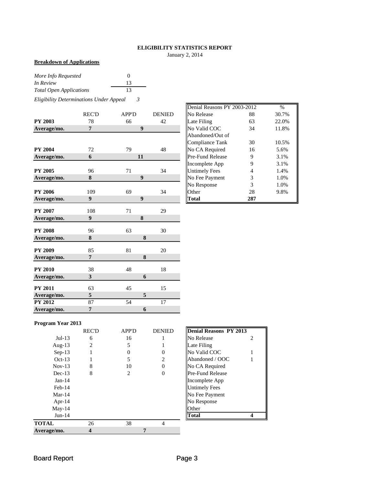## **ELIGIBILITY STATISTICS REPORT**

January 2, 2014

### **Breakdown of Applications**

| More Info Requested            | $\theta$ |
|--------------------------------|----------|
| In Review                      | 13       |
| <b>Total Open Applications</b> | 13       |

*Eligibility Determinations Under Appeal 3*

|                | <b>REC'D</b>     | <b>APP'D</b>     | <b>DENIED</b>   | No Release           | 88             | 30.7% |
|----------------|------------------|------------------|-----------------|----------------------|----------------|-------|
| <b>PY 2003</b> | 78               | 66               | 42              | Late Filing          | 63             | 22.0% |
| Average/mo.    | $\overline{7}$   | $\boldsymbol{9}$ |                 | No Valid COC         | 34             | 11.8% |
|                |                  |                  |                 | Abandoned/Out of     |                |       |
|                |                  |                  |                 | Compliance Tank      | 30             | 10.5% |
| <b>PY 2004</b> | 72               | 79               | 48              | No CA Required       | 16             | 5.6%  |
| Average/mo.    | 6                | 11               |                 | Pre-Fund Release     | 9              | 3.1%  |
|                |                  |                  |                 | Incomplete App       | 9              | 3.1%  |
| <b>PY 2005</b> | 96               | 71               | 34              | <b>Untimely Fees</b> | $\overline{4}$ | 1.4%  |
| Average/mo.    | 8                | $\boldsymbol{9}$ |                 | No Fee Payment       | 3              | 1.0%  |
|                |                  |                  |                 | No Response          | 3              | 1.0%  |
| <b>PY 2006</b> | 109              | 69               | 34              | Other                | 28             | 9.8%  |
| Average/mo.    | 9                | $\boldsymbol{9}$ |                 | Total                | 287            |       |
|                |                  |                  |                 |                      |                |       |
| <b>PY 2007</b> | 108              | 71               | 29              |                      |                |       |
| Average/mo.    | $\boldsymbol{9}$ | 8                |                 |                      |                |       |
| <b>PY 2008</b> | 96               | 63               | 30              |                      |                |       |
| Average/mo.    | 8                | 8                |                 |                      |                |       |
| <b>PY 2009</b> | 85               | 81               | 20              |                      |                |       |
| Average/mo.    | $\overline{7}$   | 8                |                 |                      |                |       |
| <b>PY 2010</b> | 38               | 48               | 18              |                      |                |       |
| Average/mo.    | 3                | 6                |                 |                      |                |       |
| <b>PY 2011</b> | 63               | 45               | 15              |                      |                |       |
| Average/mo.    | $\sqrt{5}$       | 5                |                 |                      |                |       |
| <b>PY 2012</b> | 87               | 54               | $\overline{17}$ |                      |                |       |
| Average/mo.    | 7                | 6                |                 |                      |                |       |

|       |              |               | Denial Reasons PY 2003-2012 |     | $\frac{0}{0}$ |
|-------|--------------|---------------|-----------------------------|-----|---------------|
| REC'D | <b>APP'D</b> | <b>DENIED</b> | No Release                  | 88  | 30.7%         |
| 78    | 66           | 42            | Late Filing                 | 63  | 22.0%         |
| 7     | 9            |               | No Valid COC                | 34  | 11.8%         |
|       |              |               | Abandoned/Out of            |     |               |
|       |              |               | <b>Compliance Tank</b>      | 30  | 10.5%         |
| 72    | 79           | 48            | No CA Required              | 16  | 5.6%          |
| 6     | 11           |               | Pre-Fund Release            | 9   | 3.1%          |
|       |              |               | Incomplete App              | 9   | 3.1%          |
| 96    | 71           | 34            | <b>Untimely Fees</b>        | 4   | 1.4%          |
| 8     | 9            |               | No Fee Payment              | 3   | 1.0%          |
|       |              |               | No Response                 | 3   | 1.0%          |
| 109   | 69           | 34            | Other                       | 28  | 9.8%          |
| 9     | 9            |               | Total                       | 287 |               |

### **Program Year 2013**

|              | <b>REC'D</b> | <b>APP'D</b> | <b>DENIED</b> | Denial Reasons PY 2013  |                |
|--------------|--------------|--------------|---------------|-------------------------|----------------|
| $Jul-13$     | 6            | 16           |               | No Release              | $\overline{c}$ |
| Aug- $13$    | 2            | 5            |               | Late Filing             |                |
| $Sep-13$     |              | 0            |               | No Valid COC            |                |
| $Oct-13$     |              | 5            | 2             | Abandoned / OOC         |                |
| $Nov-13$     | 8            | 10           | 0             | No CA Required          |                |
| $Dec-13$     | 8            | 2            | 0             | <b>Pre-Fund Release</b> |                |
| $Jan-14$     |              |              |               | Incomplete App          |                |
| Feb-14       |              |              |               | <b>Untimely Fees</b>    |                |
| $Mar-14$     |              |              |               | No Fee Payment          |                |
| Apr- $14$    |              |              |               | No Response             |                |
| $May-14$     |              |              |               | Other                   |                |
| $Jun-14$     |              |              |               | <b>Total</b>            |                |
| <b>TOTAL</b> | 26           | 38           | 4             |                         |                |
| Average/mo.  | 4            |              |               |                         |                |

| <b>Denial Reasons PY 2013</b> |   |
|-------------------------------|---|
| No Release                    | 2 |
| Late Filing                   |   |
| No Valid COC                  |   |
| Abandoned / OOC               |   |
| No CA Required                |   |
| Pre-Fund Release              |   |
| Incomplete App                |   |
| <b>Untimely Fees</b>          |   |
| No Fee Payment                |   |
| No Response                   |   |
| <b>Other</b>                  |   |
|                               |   |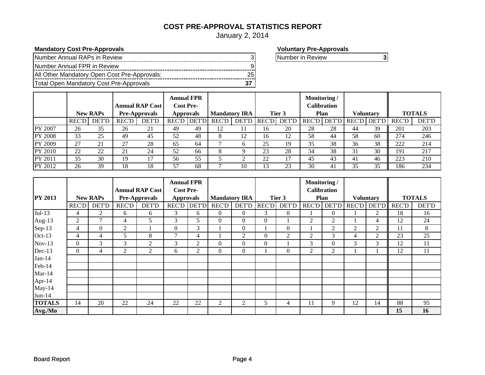## **COST PRE-APPROVAL STATISTICS REPORT**

January 2, 2014

## **Mandatory Cost Pre-Approvals Voluntary Pre-Approvals**

| Number Annual RAPs in Review                 |  |
|----------------------------------------------|--|
| Number Annual FPR in Review                  |  |
| All Other Mandatory Open Cost Pre-Approvals: |  |
| Total Open Mandatory Cost Pre-Approvals      |  |

Number in Review **3**

|                | <b>Annual RAP Cost</b><br><b>New RAPs</b><br><b>Pre-Approvals</b> |              | <b>Annual FPR</b><br><b>Cost Pre-</b><br><b>Approvals</b> |       | <b>Mandatory IRA</b> |              | Tier 3       |              | Monitoring/<br>Calibration<br>Plan |              | <b>Voluntary</b> |              | <b>TOTALS</b> |                    |              |              |
|----------------|-------------------------------------------------------------------|--------------|-----------------------------------------------------------|-------|----------------------|--------------|--------------|--------------|------------------------------------|--------------|------------------|--------------|---------------|--------------------|--------------|--------------|
|                | <b>REC'D</b>                                                      | <b>DET'D</b> | <b>REC'D</b>                                              | DET'D | <b>REC'D</b>         | <b>DET'D</b> | <b>REC'D</b> | <b>DET'D</b> | <b>REC'DI</b>                      | <b>DET'D</b> | <b>REC'D</b>     | <b>DET'D</b> |               | <b>REC'D DET'D</b> | <b>REC'D</b> | <b>DET'D</b> |
| PY 2007        | 26                                                                | 35           | 26                                                        | 21    | 49                   | 49           | 12           |              | 16                                 | 20           | 28               | 28           | 44            | 39                 | 201          | 203          |
| <b>PY 2008</b> | 33                                                                | 25           | 49                                                        | 45    | 52                   | 48           | 8            | 12           | 16                                 |              | 58               | 44           | 58            | 60                 | 274          | 246          |
| <b>PY 2009</b> | 27                                                                | 21           | 27                                                        | 28    | 65                   | 64           |              | <sub>0</sub> | 25                                 | 19           | 35               | 38           | 36            | 38                 | 222          | 214          |
| PY 2010        | 22                                                                | 22           | 21                                                        | 24    | 52                   | 66           | X            |              | 23                                 | 28           | 34               | 38           | 31            | 30                 | 191          | 217          |
| PY 2011        | 35                                                                | 30           | 19                                                        |       | 56                   | 55           |              |              | 22                                 |              | 45               | 43           | 41            | 46                 | 223          | 210          |
| PY 2012        | 26                                                                | 39           | 18                                                        | 18    | 57                   | 68           |              | 10           |                                    | 23           | 30               | 41           | 35            | 35                 | 186          | 234          |

|                |                |                  |                |                        | <b>Annual FPR</b> |              |                |                      |                |                |                | Monitoring /       |                  |              |               |              |
|----------------|----------------|------------------|----------------|------------------------|-------------------|--------------|----------------|----------------------|----------------|----------------|----------------|--------------------|------------------|--------------|---------------|--------------|
|                |                |                  |                | <b>Annual RAP Cost</b> | <b>Cost Pre-</b>  |              |                |                      |                |                |                | <b>Calibration</b> |                  |              |               |              |
| <b>PY 2013</b> |                | <b>New RAPs</b>  |                | Pre-Approvals          | <b>Approvals</b>  |              |                | <b>Mandatory IRA</b> |                | Tier 3         |                | Plan               | <b>Voluntary</b> |              | <b>TOTALS</b> |              |
|                | <b>REC'D</b>   | <b>DET'D</b>     | <b>REC'D</b>   | <b>DET'D</b>           | <b>REC'D</b>      | <b>DET'D</b> | <b>REC'D</b>   | <b>DET'D</b>         | <b>REC'D</b>   | <b>DET'D</b>   |                | <b>REC'D DET'D</b> | <b>REC'D</b>     | <b>DET'D</b> | <b>REC'D</b>  | <b>DET'D</b> |
| $Jul-13$       | 4              | $\overline{c}$   | 6              | 6                      | 3                 | 6            | $\overline{0}$ | $\Omega$             | 3              | $\overline{0}$ |                | $\Omega$           |                  | 2            | 18            | 16           |
| Aug-13         | $\overline{2}$ | 7                | 4              | 5                      | 3                 | 5            | $\overline{0}$ | $\Omega$             | $\overline{0}$ |                | $\overline{2}$ | 2                  |                  | 4            | 12            | 24           |
| Sep-13         | $\overline{4}$ | $\boldsymbol{0}$ | 2              |                        | $\overline{0}$    | 3            |                | $\Omega$             |                | $\overline{0}$ |                | 2                  | $\overline{2}$   | 2            | 11            | 8            |
| Oct-13         | 4              | $\overline{4}$   | 5              | 8                      | $\mathcal{I}$     | 4            |                | 2                    | $\theta$       | 2              | 2              | 3                  | 4                | 2            | 23            | 25           |
| $Nov-13$       | $\Omega$       | 3                | 3              | $\overline{2}$         | 3                 | 2            | $\Omega$       | $\Omega$             | $\Omega$       |                | 3              | 0                  | 3                | 3            | 12            | 11           |
| Dec-13         | $\Omega$       | $\overline{4}$   | $\overline{2}$ | $\overline{2}$         | 6                 | 2            | $\Omega$       | $\Omega$             |                | $\theta$       | 2              | 2                  |                  |              | 12            | 11           |
| $Jan-14$       |                |                  |                |                        |                   |              |                |                      |                |                |                |                    |                  |              |               |              |
| Feb-14         |                |                  |                |                        |                   |              |                |                      |                |                |                |                    |                  |              |               |              |
| $Mar-14$       |                |                  |                |                        |                   |              |                |                      |                |                |                |                    |                  |              |               |              |
| Apr-14         |                |                  |                |                        |                   |              |                |                      |                |                |                |                    |                  |              |               |              |
| May-14         |                |                  |                |                        |                   |              |                |                      |                |                |                |                    |                  |              |               |              |
| $Jun-14$       |                |                  |                |                        |                   |              |                |                      |                |                |                |                    |                  |              |               |              |
| <b>TOTALS</b>  | 14             | 20               | 22             | 24                     | 22                | 22           | 2              | 2                    | 5              | 4              | 11             | 9                  | 12               | 14           | 88            | 95           |
| Avg./Mo        |                |                  |                |                        |                   |              |                |                      |                |                |                |                    |                  |              | 15            | 16           |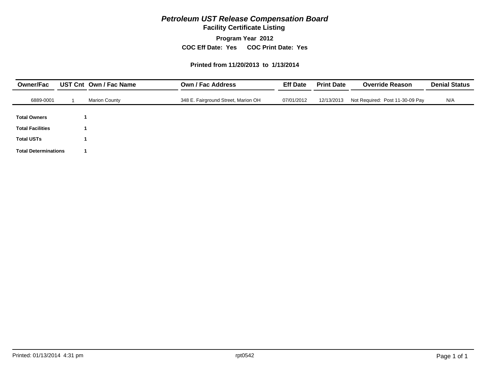## *Petroleum UST Release Compensation Board*

**Facility Certificate Listing**

**Program Year 2012**

**COC Eff Date: Yes COC Print Date: Yes** 

#### **Printed from 11/20/2013 to 1/13/2014**

| <b>Owner/Fac</b>            | UST Cnt Own / Fac Name | <b>Own / Fac Address</b>            | <b>Eff Date</b> | <b>Print Date</b> | <b>Override Reason</b>          | <b>Denial Status</b><br>N/A |  |
|-----------------------------|------------------------|-------------------------------------|-----------------|-------------------|---------------------------------|-----------------------------|--|
| 6889-0001                   | <b>Marion County</b>   | 348 E. Fairground Street, Marion OH | 07/01/2012      | 12/13/2013        | Not Required: Post 11-30-09 Pay |                             |  |
| <b>Total Owners</b>         |                        |                                     |                 |                   |                                 |                             |  |
| <b>Total Facilities</b>     |                        |                                     |                 |                   |                                 |                             |  |
| <b>Total USTs</b>           |                        |                                     |                 |                   |                                 |                             |  |
| <b>Total Determinations</b> |                        |                                     |                 |                   |                                 |                             |  |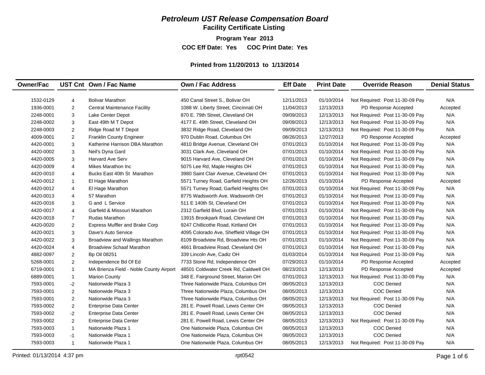## *Petroleum UST Release Compensation Board*

**Facility Certificate Listing**

**Program Year 2013**

**COC Eff Date: Yes COC Print Date: Yes** 

#### **Printed from 11/20/2013 to 1/13/2014**

| <b>Owner/Fac</b> |                | UST Cnt Own / Fac Name                  | <b>Own / Fac Address</b>                | <b>Eff Date</b> | <b>Print Date</b> | <b>Override Reason</b>          | <b>Denial Status</b> |
|------------------|----------------|-----------------------------------------|-----------------------------------------|-----------------|-------------------|---------------------------------|----------------------|
| 1532-0129        | 4              | <b>Bolivar Marathon</b>                 | 450 Canal Street S., Bolivar OH         | 12/11/2013      | 01/10/2014        | Not Required: Post 11-30-09 Pay | N/A                  |
| 1936-0001        | $\overline{2}$ | <b>Central Maintenance Facility</b>     | 1088 W. Liberty Street, Cincinnati OH   | 11/04/2013      | 12/13/2013        | PD Response Accepted            | Accepted             |
| 2248-0001        | $\mathbf{3}$   | Lake Center Depot                       | 870 E. 79th Street, Cleveland OH        | 09/09/2013      | 12/13/2013        | Not Required: Post 11-30-09 Pay | N/A                  |
| 2248-0002        | 3              | East 49th M T Depot                     | 4177 E. 49th Street, Cleveland OH       | 09/09/2013      | 12/13/2013        | Not Required: Post 11-30-09 Pay | N/A                  |
| 2248-0003        | 2              | Ridge Road M T Depot                    | 3832 Ridge Road, Cleveland OH           | 09/09/2013      | 12/13/2013        | Not Required: Post 11-30-09 Pay | N/A                  |
| 4009-0001        | 2              | <b>Franklin County Engineer</b>         | 970 Dublin Road, Columbus OH            | 08/26/2013      | 12/27/2013        | PD Response Accepted            | Accepted             |
| 4420-0001        | 3              | Katherine Harrison DBA Marathon         | 4810 Bridge Avenue, Cleveland OH        | 07/01/2013      | 01/10/2014        | Not Required: Post 11-30-09 Pay | N/A                  |
| 4420-0002        | 3              | Neil's Dyna Gard                        | 3031 Clark Ave, Cleveland OH            | 07/01/2013      | 01/10/2014        | Not Required: Post 11-30-09 Pay | N/A                  |
| 4420-0005        | 3              | <b>Harvard Ave Serv</b>                 | 9015 Harvard Ave, Cleveland OH          | 07/01/2013      | 01/10/2014        | Not Required: Post 11-30-09 Pay | N/A                  |
| 4420-0009        | $\overline{4}$ | Mikes Marathon Inc                      | 5075 Lee Rd, Maple Heights OH           | 07/01/2013      | 01/10/2014        | Not Required: Post 11-30-09 Pay | N/A                  |
| 4420-0010        | $\overline{4}$ | Bucks East 40th St Marathon             | 3980 Saint Clair Avenue, Cleveland OH   | 07/01/2013      | 01/10/2014        | Not Required: Post 11-30-09 Pay | N/A                  |
| 4420-0012        | $\mathbf{1}$   | El Hage Marathon                        | 5571 Turney Road, Garfield Heights OH   | 12/26/2013      | 01/10/2014        | PD Response Accepted            | Accepted             |
| 4420-0012        | $\overline{4}$ | El Hage Marathon                        | 5571 Turney Road, Garfield Heights OH   | 07/01/2013      | 01/10/2014        | Not Required: Post 11-30-09 Pay | N/A                  |
| 4420-0013        | $\overline{4}$ | 57 Marathon                             | 8775 Wadsworth Ave, Wadsworth OH        | 07/01/2013      | 01/10/2014        | Not Required: Post 11-30-09 Pay | N/A                  |
| 4420-0016        | 3              | G and L Service                         | 511 E 140th St, Cleveland OH            | 07/01/2013      | 01/10/2014        | Not Required: Post 11-30-09 Pay | N/A                  |
| 4420-0017        | $\overline{4}$ | Garfield & Missouri Marathon            | 2312 Garfield Blvd, Lorain OH           | 07/01/2013      | 01/10/2014        | Not Required: Post 11-30-09 Pay | N/A                  |
| 4420-0018        | $\overline{7}$ | <b>Rudas Marathon</b>                   | 13915 Brookpark Road, Cleveland OH      | 07/01/2013      | 01/10/2014        | Not Required: Post 11-30-09 Pay | N/A                  |
| 4420-0020        | 2              | <b>Express Muffler and Brake Corp</b>   | 9247 Chillicothe Road, Kirtland OH      | 07/01/2013      | 01/10/2014        | Not Required: Post 11-30-09 Pay | N/A                  |
| 4420-0021        | 3              | Dave's Auto Service                     | 4095 Colorado Ave, Sheffield Village OH | 07/01/2013      | 01/10/2014        | Not Required: Post 11-30-09 Pay | N/A                  |
| 4420-0022        | 3              | Broadview and Wallings Marathon         | 8109 Broadview Rd, Broadview Hts OH     | 07/01/2013      | 01/10/2014        | Not Required: Post 11-30-09 Pay | N/A                  |
| 4420-0024        | $\overline{4}$ | <b>Broadview Schaaf Marathon</b>        | 4661 Broadview Road, Cleveland OH       | 07/01/2013      | 01/10/2014        | Not Required: Post 11-30-09 Pay | N/A                  |
| 4882-0097        | 2              | Bp Oil 08251                            | 339 Lincoln Ave, Cadiz OH               | 01/03/2014      | 01/10/2014        | Not Required: Post 11-30-09 Pay | N/A                  |
| 5268-0001        | 2              | Independence Bd Of Ed                   | 7733 Stone Rd, Independence OH          | 07/29/2013      | 01/10/2014        | PD Response Accepted            | Accepted             |
| 6719-0001        | $\mathbf{1}$   | MA Brienza Field - Noble County Airport | 48501 Coldwater Creek Rd, Caldwell OH   | 08/23/2013      | 12/13/2013        | PD Response Accepted            | Accepted             |
| 6889-0001        | $\mathbf{1}$   | <b>Marion County</b>                    | 348 E. Fairground Street, Marion OH     | 07/01/2013      | 12/13/2013        | Not Required: Post 11-30-09 Pay | N/A                  |
| 7593-0001        | $-2$           | Nationwide Plaza 3                      | Three Nationwide Plaza, Columbus OH     | 08/05/2013      | 12/13/2013        | <b>COC Denied</b>               | N/A                  |
| 7593-0001        | 2              | Nationwide Plaza 3                      | Three Nationwide Plaza, Columbus OH     | 08/05/2013      | 12/13/2013        | <b>COC Denied</b>               | N/A                  |
| 7593-0001        | 2              | Nationwide Plaza 3                      | Three Nationwide Plaza, Columbus OH     | 08/05/2013      | 12/13/2013        | Not Required: Post 11-30-09 Pay | N/A                  |
| 7593-0002        | 2              | <b>Enterprise Data Center</b>           | 281 E. Powell Road, Lewis Center OH     | 08/05/2013      | 12/13/2013        | <b>COC Denied</b>               | N/A                  |
| 7593-0002        | $-2$           | <b>Enterprise Data Center</b>           | 281 E. Powell Road. Lewis Center OH     | 08/05/2013      | 12/13/2013        | <b>COC Denied</b>               | N/A                  |
| 7593-0002        | 2              | <b>Enterprise Data Center</b>           | 281 E. Powell Road, Lewis Center OH     | 08/05/2013      | 12/13/2013        | Not Required: Post 11-30-09 Pay | N/A                  |
| 7593-0003        | $\mathbf{1}$   | Nationwide Plaza 1                      | One Nationwide Plaza, Columbus OH       | 08/05/2013      | 12/13/2013        | <b>COC Denied</b>               | N/A                  |
| 7593-0003        | $-1$           | Nationwide Plaza 1                      | One Nationwide Plaza, Columbus OH       | 08/05/2013      | 12/13/2013        | <b>COC Denied</b>               | N/A                  |
| 7593-0003        | $\mathbf{1}$   | Nationwide Plaza 1                      | One Nationwide Plaza, Columbus OH       | 08/05/2013      | 12/13/2013        | Not Required: Post 11-30-09 Pay | N/A                  |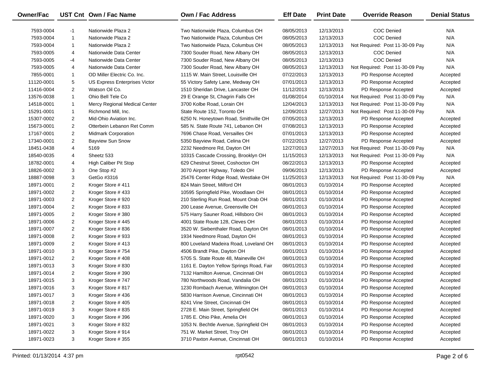| Owner/Fac  |                | UST Cnt Own / Fac Name        | Own / Fac Address                        | <b>Eff Date</b> | <b>Print Date</b> | <b>Override Reason</b>          | <b>Denial Status</b> |
|------------|----------------|-------------------------------|------------------------------------------|-----------------|-------------------|---------------------------------|----------------------|
| 7593-0004  | $-1$           | Nationwide Plaza 2            | Two Nationwide Plaza, Columbus OH        | 08/05/2013      | 12/13/2013        | COC Denied                      | N/A                  |
| 7593-0004  | -1             | Nationwide Plaza 2            | Two Nationwide Plaza, Columbus OH        | 08/05/2013      | 12/13/2013        | <b>COC Denied</b>               | N/A                  |
| 7593-0004  | 1              | Nationwide Plaza 2            | Two Nationwide Plaza, Columbus OH        | 08/05/2013      | 12/13/2013        | Not Required: Post 11-30-09 Pay | N/A                  |
| 7593-0005  | 4              | Nationwide Data Center        | 7300 Souder Road, New Albany OH          | 08/05/2013      | 12/13/2013        | COC Denied                      | N/A                  |
| 7593-0005  | -4             | Nationwide Data Center        | 7300 Souder Road, New Albany OH          | 08/05/2013      | 12/13/2013        | <b>COC Denied</b>               | N/A                  |
| 7593-0005  | 4              | Nationwide Data Center        | 7300 Souder Road, New Albany OH          | 08/05/2013      | 12/13/2013        | Not Required: Post 11-30-09 Pay | N/A                  |
| 7855-0001  | 1              | OD Miller Electric Co. Inc.   | 1115 W. Main Street, Louisville OH       | 07/22/2013      | 12/13/2013        | PD Response Accepted            | Accepted             |
| 11120-0001 | 5              | US Express Enterprises Victor | 55 Victory Safety Lane, Medway OH        | 07/01/2013      | 12/13/2013        | PD Response Accepted            | Accepted             |
| 11416-0004 | $\overline{2}$ | Watson Oil Co.                | 1510 Sheridan Drive, Lancaster OH        | 11/12/2013      | 12/13/2013        | PD Response Accepted            | Accepted             |
| 13576-0038 | 1              | Ohio Bell Tele Co             | 29 E Orange St, Chagrin Falls OH         | 01/08/2014      | 01/10/2014        | Not Required: Post 11-30-09 Pay | N/A                  |
| 14518-0001 | 1              | Mercy Regional Medical Center | 3700 Kolbe Road, Lorain OH               | 12/04/2013      | 12/13/2013        | Not Required: Post 11-30-09 Pay | N/A                  |
| 15291-0001 | 1              | Richmond Mill, Inc.           | State Route 152, Toronto OH              | 12/09/2013      | 12/27/2013        | Not Required: Post 11-30-09 Pay | N/A                  |
| 15307-0002 | 2              | Mid-Ohio Aviation Inc.        | 6250 N. Honeytown Road, Smithville OH    | 07/05/2013      | 12/13/2013        | PD Response Accepted            | Accepted             |
| 15673-0001 | $\overline{2}$ | Otterbein Lebanon Ret Comm    | 585 N. State Route 741, Lebanon OH       | 07/08/2013      | 12/13/2013        | PD Response Accepted            | Accepted             |
| 17167-0001 | 2              | <b>Midmark Corporation</b>    | 7696 Chase Road, Versailles OH           | 07/01/2013      | 12/13/2013        | PD Response Accepted            | Accepted             |
| 17340-0001 | 2              | <b>Bayview Sun Snow</b>       | 5350 Bayview Road, Celina OH             | 07/22/2013      | 12/27/2013        | PD Response Accepted            | Accepted             |
| 18451-0438 | 4              | 5169                          | 2232 Needmore Rd, Dayton OH              | 12/27/2013      | 12/27/2013        | Not Required: Post 11-30-09 Pay | N/A                  |
| 18540-0035 | 4              | Sheetz 533                    | 10315 Cascade Crossing, Brooklyn OH      | 11/15/2013      | 12/13/2013        | Not Required: Post 11-30-09 Pay | N/A                  |
| 18782-0001 | 4              | High Caliber Pit Stop         | 629 Chestnut Street, Coshocton OH        | 08/22/2013      | 12/13/2013        | PD Response Accepted            | Accepted             |
| 18826-0002 | 3              | One Stop #2                   | 3070 Airport Highway, Toledo OH          | 09/06/2013      | 12/13/2013        | PD Response Accepted            | Accepted             |
| 18887-0098 | 3              | GetGo #3316                   | 25476 Center Ridge Road, Westlake OH     | 11/25/2013      | 12/13/2013        | Not Required: Post 11-30-09 Pay | N/A                  |
| 18971-0001 | 2              | Kroger Store #411             | 824 Main Street, Milford OH              | 08/01/2013      | 01/10/2014        | PD Response Accepted            | Accepted             |
| 18971-0002 | 2              | Kroger Store #433             | 10595 Springfield Pike, Woodlawn OH      | 08/01/2013      | 01/10/2014        | PD Response Accepted            | Accepted             |
| 18971-0003 | $\overline{2}$ | Kroger Store #920             | 210 Sterling Run Road, Mount Orab OH     | 08/01/2013      | 01/10/2014        | PD Response Accepted            | Accepted             |
| 18971-0004 | 2              | Kroger Store #833             | 200 Lease Avenue, Greensville OH         | 08/01/2013      | 01/10/2014        | PD Response Accepted            | Accepted             |
| 18971-0005 | 2              | Kroger Store #380             | 575 Harry Sauner Road, Hillsboro OH      | 08/01/2013      | 01/10/2014        | PD Response Accepted            | Accepted             |
| 18971-0006 | $\overline{2}$ | Kroger Store #445             | 4001 State Route 128, Cleves OH          | 08/01/2013      | 01/10/2014        | PD Response Accepted            | Accepted             |
| 18971-0007 | 2              | Kroger Store #836             | 3520 W. Siebenthaler Road, Dayton OH     | 08/01/2013      | 01/10/2014        | PD Response Accepted            | Accepted             |
| 18971-0008 | 2              | Kroger Store #933             | 1934 Needmore Road, Dayton OH            | 08/01/2013      | 01/10/2014        | PD Response Accepted            | Accepted             |
| 18971-0009 | $\overline{2}$ | Kroger Store #413             | 800 Loveland Madeira Road, Loveland OH   | 08/01/2013      | 01/10/2014        | PD Response Accepted            | Accepted             |
| 18971-0010 | 3              | Kroger Store #754             | 4506 Brandt Pike, Dayton OH              | 08/01/2013      | 01/10/2014        | PD Response Accepted            | Accepted             |
| 18971-0012 | 2              | Kroger Store #408             | 5705 S. State Route 48, Maineville OH    | 08/01/2013      | 01/10/2014        | PD Response Accepted            | Accepted             |
| 18971-0013 | 3              | Kroger Store #830             | 1161 E. Dayton Yellow Springs Road, Fair | 08/01/2013      | 01/10/2014        | PD Response Accepted            | Accepted             |
| 18971-0014 | 2              | Kroger Store #390             | 7132 Hamilton Avenue, Cincinnati OH      | 08/01/2013      | 01/10/2014        | PD Response Accepted            | Accepted             |
| 18971-0015 | 3              | Kroger Store #747             | 780 Northwoods Road, Vandalia OH         | 08/01/2013      | 01/10/2014        | PD Response Accepted            | Accepted             |
| 18971-0016 | 3              | Kroger Store #817             | 1230 Rombach Avenue, Wilmington OH       | 08/01/2013      | 01/10/2014        | PD Response Accepted            | Accepted             |
| 18971-0017 | 3              | Kroger Store #436             | 5830 Harrison Avenue, Cincinnati OH      | 08/01/2013      | 01/10/2014        | PD Response Accepted            | Accepted             |
| 18971-0018 | $\overline{a}$ | Kroger Store #405             | 8241 Vine Street, Cincinnati OH          | 08/01/2013      | 01/10/2014        | PD Response Accepted            | Accepted             |
| 18971-0019 | 3              | Kroger Store #835             | 2728 E. Main Street, Springfield OH      | 08/01/2013      | 01/10/2014        | PD Response Accepted            | Accepted             |
| 18971-0020 | 3              | Kroger Store #396             | 1785 E. Ohio Pike, Amelia OH             | 08/01/2013      | 01/10/2014        | PD Response Accepted            | Accepted             |
| 18971-0021 | 3              | Kroger Store #832             | 1053 N. Bechtle Avenue, Springfield OH   | 08/01/2013      | 01/10/2014        | PD Response Accepted            | Accepted             |
| 18971-0022 | 3              | Kroger Store #914             | 751 W. Market Street, Troy OH            | 08/01/2013      | 01/10/2014        | PD Response Accepted            | Accepted             |
| 18971-0023 | 3              | Kroger Store #355             | 3710 Paxton Avenue, Cincinnati OH        | 08/01/2013      | 01/10/2014        | PD Response Accepted            | Accepted             |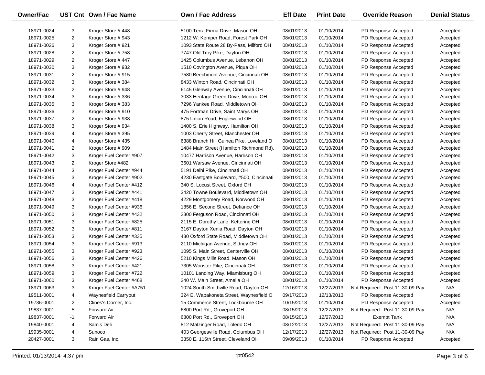| Owner/Fac  |                     | UST Cnt Own / Fac Name   | <b>Own / Fac Address</b>                                                | <b>Eff Date</b>          | <b>Print Date</b> | <b>Override Reason</b>                       | <b>Denial Status</b> |
|------------|---------------------|--------------------------|-------------------------------------------------------------------------|--------------------------|-------------------|----------------------------------------------|----------------------|
|            |                     |                          |                                                                         |                          | 01/10/2014        |                                              |                      |
| 18971-0024 | 3<br>$\overline{2}$ | Kroger Store #448        | 5100 Terra Firma Drive, Mason OH<br>1212 W. Kemper Road, Forest Park OH | 08/01/2013               |                   | PD Response Accepted                         | Accepted             |
| 18971-0025 | 3                   | Kroger Store #943        |                                                                         | 08/01/2013               | 01/10/2014        | PD Response Accepted<br>PD Response Accepted | Accepted             |
| 18971-0026 |                     | Kroger Store #921        | 1093 State Route 28 By-Pass, Milford OH                                 | 08/01/2013<br>08/01/2013 | 01/10/2014        | PD Response Accepted                         | Accepted             |
| 18971-0028 | $\overline{2}$      | Kroger Store #758        | 7747 Old Troy Pike, Dayton OH                                           |                          | 01/10/2014        |                                              | Accepted             |
| 18971-0029 | $\overline{2}$      | Kroger Store #447        | 1425 Columbus Avenue, Lebanon OH                                        | 08/01/2013               | 01/10/2014        | PD Response Accepted                         | Accepted             |
| 18971-0030 | 3                   | Kroger Store #932        | 1510 Covington Avenue, Piqua OH                                         | 08/01/2013               | 01/10/2014        | PD Response Accepted                         | Accepted             |
| 18971-0031 | $\overline{2}$      | Kroger Store #915        | 7580 Beechmont Avenue, Cincinnati OH                                    | 08/01/2013               | 01/10/2014        | PD Response Accepted                         | Accepted             |
| 18971-0032 | 3                   | Kroger Store #384        | 8433 Winton Road, Cincinnati OH                                         | 08/01/2013               | 01/10/2014        | PD Response Accepted                         | Accepted             |
| 18971-0033 | $\overline{2}$      | Kroger Store #948        | 6145 Glenway Avenue, Cincinnati OH                                      | 08/01/2013               | 01/10/2014        | PD Response Accepted                         | Accepted             |
| 18971-0034 | 3                   | Kroger Store #336        | 3033 Heritage Green Drive, Monroe OH                                    | 08/01/2013               | 01/10/2014        | PD Response Accepted                         | Accepted             |
| 18971-0035 | 3                   | Kroger Store #383        | 7296 Yankee Road, Middletown OH                                         | 08/01/2013               | 01/10/2014        | PD Response Accepted                         | Accepted             |
| 18971-0036 | 3                   | Kroger Store #910        | 475 Fortman Drive, Saint Marys OH                                       | 08/01/2013               | 01/10/2014        | PD Response Accepted                         | Accepted             |
| 18971-0037 | $\overline{2}$      | Kroger Store #938        | 875 Union Road, Englewood OH                                            | 08/01/2013               | 01/10/2014        | PD Response Accepted                         | Accepted             |
| 18971-0038 | 3                   | Kroger Store #934        | 1400 S. Erie Highway, Hamilton OH                                       | 08/01/2013               | 01/10/2014        | PD Response Accepted                         | Accepted             |
| 18971-0039 | 4                   | Kroger Store #395        | 1003 Cherry Street, Blanchester OH                                      | 08/01/2013               | 01/10/2014        | PD Response Accepted                         | Accepted             |
| 18971-0040 | 4                   | Kroger Store #435        | 6388 Branch Hill Guinea Pike, Loveland O                                | 08/01/2013               | 01/10/2014        | PD Response Accepted                         | Accepted             |
| 18971-0041 | $\overline{2}$      | Kroger Store #909        | 1484 Main Street (Hamilton Richmond Rd),                                | 08/01/2013               | 01/10/2014        | PD Response Accepted                         | Accepted             |
| 18971-0042 | 3                   | Kroger Fuel Center #907  | 10477 Harrison Avenue, Harrison OH                                      | 08/01/2013               | 01/10/2014        | PD Response Accepted                         | Accepted             |
| 18971-0043 | $\overline{2}$      | Kroger Store #482        | 3601 Warsaw Avenue, Cincinnati OH                                       | 08/01/2013               | 01/10/2014        | PD Response Accepted                         | Accepted             |
| 18971-0044 | 3                   | Kroger Fuel Center #944  | 5191 Delhi Pike, Cincinnati OH                                          | 08/01/2013               | 01/10/2014        | PD Response Accepted                         | Accepted             |
| 18971-0045 | 3                   | Kroger Fuel Center #902  | 4230 Eastgate Boulevard, #500, Cincinnati                               | 08/01/2013               | 01/10/2014        | PD Response Accepted                         | Accepted             |
| 18971-0046 | 4                   | Kroger Fuel Center #412  | 340 S. Locust Street, Oxford OH                                         | 08/01/2013               | 01/10/2014        | PD Response Accepted                         | Accepted             |
| 18971-0047 | 3                   | Kroger Fuel Center #441  | 3420 Towne Boulevard, Middletown OH                                     | 08/01/2013               | 01/10/2014        | PD Response Accepted                         | Accepted             |
| 18971-0048 | 3                   | Kroger Fuel Center #418  | 4229 Montgomery Road, Norwood OH                                        | 08/01/2013               | 01/10/2014        | PD Response Accepted                         | Accepted             |
| 18971-0049 | 3                   | Kroger Fuel Center #936  | 1856 E. Second Street, Defiance OH                                      | 08/01/2013               | 01/10/2014        | PD Response Accepted                         | Accepted             |
| 18971-0050 | 3                   | Kroger Fuel Center #432  | 2300 Ferguson Road, Cincinnati OH                                       | 08/01/2013               | 01/10/2014        | PD Response Accepted                         | Accepted             |
| 18971-0051 | 3                   | Kroger Fuel Center #825  | 2115 E. Dorothy Lane, Kettering OH                                      | 08/01/2013               | 01/10/2014        | PD Response Accepted                         | Accepted             |
| 18971-0052 | 3                   | Kroger Fuel Center #811  | 3167 Dayton Xenia Road, Dayton OH                                       | 08/01/2013               | 01/10/2014        | PD Response Accepted                         | Accepted             |
| 18971-0053 | 3                   | Kroger Fuel Center #335  | 430 Oxford State Road, Middletown OH                                    | 08/01/2013               | 01/10/2014        | PD Response Accepted                         | Accepted             |
| 18971-0054 | 3                   | Kroger Fuel Center #913  | 2110 Michigan Avenue, Sidney OH                                         | 08/01/2013               | 01/10/2014        | PD Response Accepted                         | Accepted             |
| 18971-0055 | 3                   | Kroger Fuel Center #923  | 1095 S. Main Street, Centerville OH                                     | 08/01/2013               | 01/10/2014        | PD Response Accepted                         | Accepted             |
| 18971-0056 | 3                   | Kroger Fuel Center #426  | 5210 Kings Mills Road, Mason OH                                         | 08/01/2013               | 01/10/2014        | PD Response Accepted                         | Accepted             |
| 18971-0058 | 3                   | Kroger Fuel Center #421  | 7305 Wooster Pike, Cincinnati OH                                        | 08/01/2013               | 01/10/2014        | PD Response Accepted                         | Accepted             |
| 18971-0059 | 3                   | Kroger Fuel Center #722  | 10101 Landing Way, Miamisburg OH                                        | 08/01/2013               | 01/10/2014        | PD Response Accepted                         | Accepted             |
| 18971-0060 | 3                   | Kroger Fuel Center #468  | 240 W. Main Street, Amelia OH                                           | 08/01/2013               | 01/10/2014        | PD Response Accepted                         | Accepted             |
| 18971-0063 | 3                   | Kroger Fuel Center #A751 | 1024 South Smithville Road, Dayton OH                                   | 12/16/2013               | 12/27/2013        | Not Required: Post 11-30-09 Pay              | N/A                  |
| 19511-0001 | 4                   | Waynesfield Carryout     | 324 E. Wapakoneta Street, Waynesfield O                                 | 09/17/2013               | 12/13/2013        | PD Response Accepted                         | Accepted             |
| 19736-0001 | $\overline{2}$      | Clines's Corner, Inc.    | 15 Commerce Street, Lockbourne OH                                       | 10/15/2013               | 01/10/2014        | PD Response Accepted                         | Accepted             |
| 19837-0001 | 5                   | Forward Air              | 6800 Port Rd., Groveport OH                                             | 08/15/2013               | 12/27/2013        | Not Required: Post 11-30-09 Pay              | N/A                  |
| 19837-0001 | $-1$                | <b>Forward Air</b>       | 6800 Port Rd., Groveport OH                                             | 08/15/2013               | 12/27/2013        | <b>Exempt Tank</b>                           | N/A                  |
| 19840-0001 | 4                   | Sam's Deli               | 812 Matzinger Road, Toledo OH                                           | 08/12/2013               | 12/27/2013        | Not Required: Post 11-30-09 Pay              | N/A                  |
| 19935-0001 | 4                   | Sunoco                   | 403 Georgesville Road, Columbus OH                                      | 12/17/2013               | 12/27/2013        | Not Required: Post 11-30-09 Pay              | N/A                  |
| 20427-0001 | 3                   | Rain Gas, Inc.           | 3350 E. 116th Street, Cleveland OH                                      | 09/09/2013               | 01/10/2014        | PD Response Accepted                         | Accepted             |
|            |                     |                          |                                                                         |                          |                   |                                              |                      |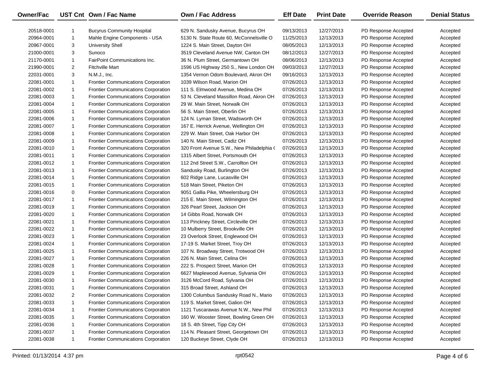| <b>Owner/Fac</b> |                | UST Cnt Own / Fac Name                     | Own / Fac Address                         | <b>Eff Date</b> | <b>Print Date</b> | <b>Override Reason</b> | <b>Denial Status</b> |
|------------------|----------------|--------------------------------------------|-------------------------------------------|-----------------|-------------------|------------------------|----------------------|
| 20518-0001       | -1             | <b>Bucyrus Community Hospital</b>          | 629 N. Sandusky Avenue, Bucyrus OH        | 09/13/2013      | 12/27/2013        | PD Response Accepted   | Accepted             |
| 20964-0001       | $\mathbf{1}$   | Mahle Engine Components - USA              | 5130 N. State Route 60, McConnelsville O  | 11/25/2013      | 12/13/2013        | PD Response Accepted   | Accepted             |
| 20967-0001       | 3              | <b>University Shell</b>                    | 1224 S. Main Street, Dayton OH            | 08/05/2013      | 12/13/2013        | PD Response Accepted   | Accepted             |
| 21000-0001       | 3              | Sunoco                                     | 3519 Cleveland Avenue NW, Canton OH       | 08/12/2013      | 12/27/2013        | PD Response Accepted   | Accepted             |
| 21170-0001       | $\mathbf{1}$   | FairPoint Communications Inc.              | 36 N. Plum Street, Germantown OH          | 08/06/2013      | 12/13/2013        | PD Response Accepted   | Accepted             |
| 21990-0001       | $\overline{2}$ | <b>Fitchville Mart</b>                     | 1596 US Highway 250 S., New London OH     | 09/03/2013      | 12/27/2013        | PD Response Accepted   | Accepted             |
| 22031-0001       | 3              | N.M.J., Inc.                               | 1354 Vernon Odom Boulevard, Akron OH      | 09/16/2013      | 12/13/2013        | PD Response Accepted   | Accepted             |
| 22081-0001       | $\mathbf{1}$   | <b>Frontier Communications Corporation</b> | 1039 Wilson Road, Marion OH               | 07/26/2013      | 12/13/2013        | PD Response Accepted   | Accepted             |
| 22081-0002       | $\mathbf{1}$   | <b>Frontier Communications Corporation</b> | 111 S. Elmwood Avenue, Medina OH          | 07/26/2013      | 12/13/2013        | PD Response Accepted   | Accepted             |
| 22081-0003       | $\mathbf{1}$   | <b>Frontier Communications Corporation</b> | 53 N. Cleveland Massillon Road, Akron OH  | 07/26/2013      | 12/13/2013        | PD Response Accepted   | Accepted             |
| 22081-0004       | $\mathbf{1}$   | <b>Frontier Communications Corporation</b> | 29 W. Main Street, Norwalk OH             | 07/26/2013      | 12/13/2013        | PD Response Accepted   | Accepted             |
| 22081-0005       | $\mathbf{1}$   | <b>Frontier Communications Corporation</b> | 56 S. Main Street, Oberlin OH             | 07/26/2013      | 12/13/2013        | PD Response Accepted   | Accepted             |
| 22081-0006       | $\mathbf{1}$   | <b>Frontier Communications Corporation</b> | 124 N. Lyman Street, Wadsworth OH         | 07/26/2013      | 12/13/2013        | PD Response Accepted   | Accepted             |
| 22081-0007       | $\mathbf{1}$   | <b>Frontier Communications Corporation</b> | 167 E. Herrick Avenue, Wellington OH      | 07/26/2013      | 12/13/2013        | PD Response Accepted   | Accepted             |
| 22081-0008       | $\mathbf{1}$   | <b>Frontier Communications Corporation</b> | 229 W. Main Street, Oak Harbor OH         | 07/26/2013      | 12/13/2013        | PD Response Accepted   | Accepted             |
| 22081-0009       | $\mathbf{1}$   | <b>Frontier Communications Corporation</b> | 140 N. Main Street, Cadiz OH              | 07/26/2013      | 12/13/2013        | PD Response Accepted   | Accepted             |
| 22081-0010       | $\mathbf{1}$   | <b>Frontier Communications Corporation</b> | 320 Front Avenue S.W., New Philadelphia ( | 07/26/2013      | 12/13/2013        | PD Response Accepted   | Accepted             |
| 22081-0011       | $\mathbf{1}$   | <b>Frontier Communications Corporation</b> | 1315 Albert Street, Portsmouth OH         | 07/26/2013      | 12/13/2013        | PD Response Accepted   | Accepted             |
| 22081-0012       | $\mathbf{1}$   | <b>Frontier Communications Corporation</b> | 112 2nd Street S.W., Carrollton OH        | 07/26/2013      | 12/13/2013        | PD Response Accepted   | Accepted             |
| 22081-0013       | $\mathbf{1}$   | <b>Frontier Communications Corporation</b> | Sandusky Road, Burlington OH              | 07/26/2013      | 12/13/2013        | PD Response Accepted   | Accepted             |
| 22081-0014       | $\mathbf{1}$   | <b>Frontier Communications Corporation</b> | 602 Ridge Lane, Lucasville OH             | 07/26/2013      | 12/13/2013        | PD Response Accepted   | Accepted             |
| 22081-0015       | $\mathbf{1}$   | <b>Frontier Communications Corporation</b> | 518 Main Street, Piketon OH               | 07/26/2013      | 12/13/2013        | PD Response Accepted   | Accepted             |
| 22081-0016       | 0              | <b>Frontier Communications Corporation</b> | 9051 Gallia Pike, Wheelersburg OH         | 07/26/2013      | 12/13/2013        | PD Response Accepted   | Accepted             |
| 22081-0017       | $\mathbf{1}$   | <b>Frontier Communications Corporation</b> | 215 E. Main Street, Wilmington OH         | 07/26/2013      | 12/13/2013        | PD Response Accepted   | Accepted             |
| 22081-0019       | $\mathbf{1}$   | <b>Frontier Communications Corporation</b> | 326 Pearl Street, Jackson OH              | 07/26/2013      | 12/13/2013        | PD Response Accepted   | Accepted             |
| 22081-0020       | $\mathbf{1}$   | <b>Frontier Communications Corporation</b> | 14 Gibbs Road, Norwalk OH                 | 07/26/2013      | 12/13/2013        | PD Response Accepted   | Accepted             |
| 22081-0021       | $\mathbf{1}$   | <b>Frontier Communications Corporation</b> | 113 Pinckney Street, Circleville OH       | 07/26/2013      | 12/13/2013        | PD Response Accepted   | Accepted             |
| 22081-0022       | $\mathbf{1}$   | <b>Frontier Communications Corporation</b> | 10 Mulberry Street, Brookville OH         | 07/26/2013      | 12/13/2013        | PD Response Accepted   | Accepted             |
| 22081-0023       | $\mathbf{1}$   | <b>Frontier Communications Corporation</b> | 23 Overlook Street, Englewood OH          | 07/26/2013      | 12/13/2013        | PD Response Accepted   | Accepted             |
| 22081-0024       | $\mathbf{1}$   | <b>Frontier Communications Corporation</b> | 17-19 S. Market Street, Troy OH           | 07/26/2013      | 12/13/2013        | PD Response Accepted   | Accepted             |
| 22081-0025       | $\mathbf{1}$   | <b>Frontier Communications Corporation</b> | 107 N. Broadway Street, Trotwood OH       | 07/26/2013      | 12/13/2013        | PD Response Accepted   | Accepted             |
| 22081-0027       | $\mathbf{1}$   | <b>Frontier Communications Corporation</b> | 226 N. Main Street, Celina OH             | 07/26/2013      | 12/13/2013        | PD Response Accepted   | Accepted             |
| 22081-0028       | $\mathbf{1}$   | <b>Frontier Communications Corporation</b> | 222 S. Prospect Street, Marion OH         | 07/26/2013      | 12/13/2013        | PD Response Accepted   | Accepted             |
| 22081-0029       | $\mathbf{1}$   | <b>Frontier Communications Corporation</b> | 6627 Maplewood Avenue, Sylvania OH        | 07/26/2013      | 12/13/2013        | PD Response Accepted   | Accepted             |
| 22081-0030       | $\mathbf{1}$   | <b>Frontier Communications Corporation</b> | 3126 McCord Road, Sylvania OH             | 07/26/2013      | 12/13/2013        | PD Response Accepted   | Accepted             |
| 22081-0031       | $\mathbf{1}$   | <b>Frontier Communications Corporation</b> | 315 Broad Street, Ashland OH              | 07/26/2013      | 12/13/2013        | PD Response Accepted   | Accepted             |
| 22081-0032       | $\overline{2}$ | <b>Frontier Communications Corporation</b> | 1300 Columbus Sandusky Road N., Mario     | 07/26/2013      | 12/13/2013        | PD Response Accepted   | Accepted             |
| 22081-0033       | $\mathbf{1}$   | <b>Frontier Communications Corporation</b> | 119 S. Market Street, Galion OH           | 07/26/2013      | 12/13/2013        | PD Response Accepted   | Accepted             |
| 22081-0034       | $\mathbf{1}$   | <b>Frontier Communications Corporation</b> | 1121 Tuscarawas Avenue N.W., New Phil     | 07/26/2013      | 12/13/2013        | PD Response Accepted   | Accepted             |
| 22081-0035       | $\mathbf{1}$   | <b>Frontier Communications Corporation</b> | 160 W. Wooster Street, Bowling Green OH   | 07/26/2013      | 12/13/2013        | PD Response Accepted   | Accepted             |
| 22081-0036       | $\mathbf{1}$   | <b>Frontier Communications Corporation</b> | 18 S. 4th Street, Tipp City OH            | 07/26/2013      | 12/13/2013        | PD Response Accepted   | Accepted             |
| 22081-0037       | $\mathbf{1}$   | Frontier Communications Corporation        | 114 N. Pleasant Street, Georgetown OH     | 07/26/2013      | 12/13/2013        | PD Response Accepted   | Accepted             |
| 22081-0038       | $\mathbf{1}$   | Frontier Communications Corporation        | 120 Buckeye Street, Clyde OH              | 07/26/2013      | 12/13/2013        | PD Response Accepted   | Accepted             |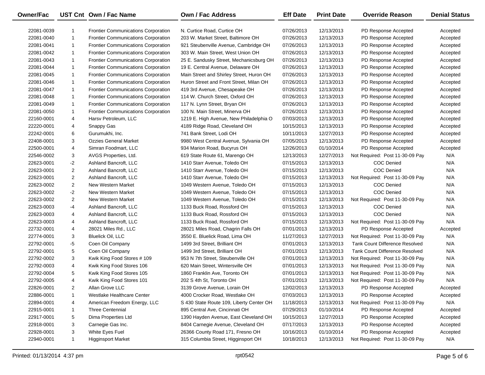| Owner/Fac  |                | UST Cnt Own / Fac Name                     | <b>Own / Fac Address</b>                 | <b>Eff Date</b> | <b>Print Date</b> | <b>Override Reason</b>                | <b>Denial Status</b> |
|------------|----------------|--------------------------------------------|------------------------------------------|-----------------|-------------------|---------------------------------------|----------------------|
| 22081-0039 | -1             | <b>Frontier Communications Corporation</b> | N. Curtice Road. Curtice OH              | 07/26/2013      | 12/13/2013        | PD Response Accepted                  | Accepted             |
| 22081-0040 | $\mathbf{1}$   | <b>Frontier Communications Corporation</b> | 203 W. Market Street, Baltimore OH       | 07/26/2013      | 12/13/2013        | PD Response Accepted                  | Accepted             |
| 22081-0041 | 1              | <b>Frontier Communications Corporation</b> | 921 Steubenville Avenue, Cambridge OH    | 07/26/2013      | 12/13/2013        | PD Response Accepted                  | Accepted             |
| 22081-0042 | $\mathbf{1}$   | Frontier Communications Corporation        | 303 W. Main Street, West Union OH        | 07/26/2013      | 12/13/2013        | PD Response Accepted                  | Accepted             |
| 22081-0043 | $\mathbf{1}$   | <b>Frontier Communications Corporation</b> | 25 E. Sandusky Street, Mechanicsburg OH  | 07/26/2013      | 12/13/2013        | PD Response Accepted                  | Accepted             |
| 22081-0044 | $\mathbf{1}$   | Frontier Communications Corporation        | 19 E. Central Avenue, Delaware OH        | 07/26/2013      | 12/13/2013        | PD Response Accepted                  | Accepted             |
| 22081-0045 | 1              | Frontier Communications Corporation        | Main Street and Shirley Street, Huron OH | 07/26/2013      | 12/13/2013        | PD Response Accepted                  | Accepted             |
| 22081-0046 | $\mathbf{1}$   | Frontier Communications Corporation        | Huron Street and Front Street, Milan OH  | 07/26/2013      | 12/13/2013        | PD Response Accepted                  | Accepted             |
| 22081-0047 | $\mathbf{1}$   | <b>Frontier Communications Corporation</b> | 419 3rd Avenue, Chesapeake OH            | 07/26/2013      | 12/13/2013        | PD Response Accepted                  | Accepted             |
| 22081-0048 | $\mathbf{1}$   | Frontier Communications Corporation        | 114 W. Church Street, Oxford OH          | 07/26/2013      | 12/13/2013        | PD Response Accepted                  | Accepted             |
| 22081-0049 | 1              | Frontier Communications Corporation        | 117 N. Lynn Street, Bryan OH             | 07/26/2013      | 12/13/2013        | PD Response Accepted                  | Accepted             |
| 22081-0050 | $\mathbf{1}$   | <b>Frontier Communications Corporation</b> | 100 N. Main Street, Minerva OH           | 07/26/2013      | 12/13/2013        | PD Response Accepted                  | Accepted             |
| 22160-0001 | 4              | Harsv Petroleum, LLC                       | 1219 E. High Avenue, New Philadelphia O  | 07/03/2013      | 12/13/2013        | PD Response Accepted                  | Accepted             |
| 22220-0001 | 4              | Snappy Gas                                 | 4189 Ridge Road, Cleveland OH            | 10/15/2013      | 12/13/2013        | PD Response Accepted                  | Accepted             |
| 22242-0001 | 6              | Gurumukhi, Inc.                            | 741 Bank Street, Lodi OH                 | 10/11/2013      | 12/27/2013        | PD Response Accepted                  | Accepted             |
| 22408-0001 | 3              | <b>Ozzies General Market</b>               | 9980 West Central Avenue, Sylvania OH    | 07/05/2013      | 12/13/2013        | PD Response Accepted                  | Accepted             |
| 22500-0001 | 4              | Simran Foodmart, LLC                       | 934 Marion Road, Bucyrus OH              | 12/26/2013      | 01/10/2014        | PD Response Accepted                  | Accepted             |
| 22546-0002 | 3              | AVGS Properties, Ltd.                      | 619 State Route 61, Marengo OH           | 12/13/2013      | 12/27/2013        | Not Required: Post 11-30-09 Pay       | N/A                  |
| 22623-0001 | $-2$           | Ashland Bancroft, LLC                      | 1410 Starr Avenue, Toledo OH             | 07/15/2013      | 12/13/2013        | <b>COC Denied</b>                     | N/A                  |
| 22623-0001 | $\overline{2}$ | Ashland Bancroft, LLC                      | 1410 Starr Avenue, Toledo OH             | 07/15/2013      | 12/13/2013        | COC Denied                            | N/A                  |
| 22623-0001 | $\overline{2}$ | Ashland Bancroft, LLC                      | 1410 Starr Avenue, Toledo OH             | 07/15/2013      | 12/13/2013        | Not Required: Post 11-30-09 Pay       | N/A                  |
| 22623-0002 | $\overline{2}$ | New Western Market                         | 1049 Western Avenue, Toledo OH           | 07/15/2013      | 12/13/2013        | <b>COC Denied</b>                     | N/A                  |
| 22623-0002 | $-2$           | New Western Market                         | 1049 Western Avenue, Toledo OH           | 07/15/2013      | 12/13/2013        | COC Denied                            | N/A                  |
| 22623-0002 | $\overline{2}$ | New Western Market                         | 1049 Western Avenue, Toledo OH           | 07/15/2013      | 12/13/2013        | Not Required: Post 11-30-09 Pay       | N/A                  |
| 22623-0003 | $-4$           | Ashland Bancroft, LLC                      | 1133 Buck Road, Rossford OH              | 07/15/2013      | 12/13/2013        | <b>COC Denied</b>                     | N/A                  |
| 22623-0003 | 4              | Ashland Bancroft, LLC                      | 1133 Buck Road, Rossford OH              | 07/15/2013      | 12/13/2013        | <b>COC Denied</b>                     | N/A                  |
| 22623-0003 | 4              | Ashland Bancroft, LLC                      | 1133 Buck Road, Rossford OH              | 07/15/2013      | 12/13/2013        | Not Required: Post 11-30-09 Pay       | N/A                  |
| 22732-0001 | 4              | 28021 Miles Rd., LLC                       | 28021 Miles Road, Chagrin Falls OH       | 07/01/2013      | 12/13/2013        | PD Response Accepted                  | Accepted             |
| 22774-0001 | 3              | <b>Bluelick Oil, LLC</b>                   | 3550 E. Bluelick Road, Lima OH           | 11/27/2013      | 12/27/2013        | Not Required: Post 11-30-09 Pay       | N/A                  |
| 22792-0001 | -5             | Coen Oil Company                           | 1499 3rd Street, Brilliant OH            | 07/01/2013      | 12/13/2013        | <b>Tank Count Difference Resolved</b> | N/A                  |
| 22792-0001 | 5              | Coen Oil Company                           | 1499 3rd Street, Brilliant OH            | 07/01/2013      | 12/13/2013        | <b>Tank Count Difference Resolved</b> | N/A                  |
| 22792-0002 | 3              | Kwik King Food Stores # 109                | 953 N 7th Street, Steubenville OH        | 07/01/2013      | 12/13/2013        | Not Required: Post 11-30-09 Pay       | N/A                  |
| 22792-0003 | 4              | Kwik King Food Stores 106                  | 620 Main Street, Wintersville OH         | 07/01/2013      | 12/13/2013        | Not Required: Post 11-30-09 Pay       | N/A                  |
| 22792-0004 | 5              | Kwik King Food Stores 105                  | 1860 Franklin Ave, Toronto OH            | 07/01/2013      | 12/13/2013        | Not Required: Post 11-30-09 Pay       | N/A                  |
| 22792-0005 | 4              | Kwik King Food Stores 101                  | 202 S 4th St, Toronto OH                 | 07/01/2013      | 12/13/2013        | Not Required: Post 11-30-09 Pay       | N/A                  |
| 22826-0001 | 2              | Allan Grove LLC                            | 3139 Grove Avenue, Lorain OH             | 12/02/2013      | 12/13/2013        | PD Response Accepted                  | Accepted             |
| 22886-0001 | 1              | Westlake Healthcare Center                 | 4000 Crocker Road, Westlake OH           | 07/03/2013      | 12/13/2013        | PD Response Accepted                  | Accepted             |
| 22894-0001 | 4              | American Freedom Energy, LLC               | S 430 State Route 109, Liberty Center OH | 11/18/2013      | 12/13/2013        | Not Required: Post 11-30-09 Pay       | N/A                  |
| 22915-0001 | 1              | <b>Three Centennial</b>                    | 895 Central Ave, Cincinnati OH           | 07/29/2013      | 01/10/2014        | PD Response Accepted                  | Accepted             |
| 22917-0001 | 5              | Dima Properties Ltd                        | 1390 Hayden Avenue, East Cleveland OH    | 10/15/2013      | 12/27/2013        | PD Response Accepted                  | Accepted             |
| 22918-0001 | 3              | Carnegie Gas Inc.                          | 8404 Carnegie Avenue, Cleveland OH       | 07/17/2013      | 12/13/2013        | PD Response Accepted                  | Accepted             |
| 22928-0001 | 3              | White Eyes Fuel                            | 26366 County Road 171, Fresno OH         | 10/16/2013      | 01/10/2014        | PD Response Accepted                  | Accepted             |
| 22940-0001 | 1              | <b>Higginsport Market</b>                  | 315 Columbia Street, Higginsport OH      | 10/18/2013      | 12/13/2013        | Not Required: Post 11-30-09 Pay       | N/A                  |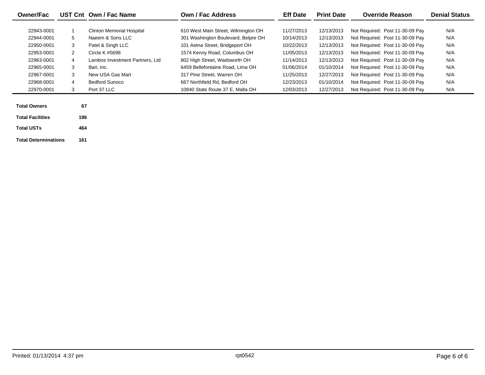| <b>Owner/Fac</b>            |     | UST Cnt Own / Fac Name                               | <b>Own / Fac Address</b>                                                   | <b>Eff Date</b>          | <b>Print Date</b>        | <b>Override Reason</b>                                             | <b>Denial Status</b> |
|-----------------------------|-----|------------------------------------------------------|----------------------------------------------------------------------------|--------------------------|--------------------------|--------------------------------------------------------------------|----------------------|
| 22943-0001<br>22944-0001    | 5   | <b>Clinton Memorial Hospital</b><br>Naeem & Sons LLC | 610 West Main Street, Wilmington OH<br>301 Washington Boulevard, Belpre OH | 11/27/2013<br>10/14/2013 | 12/13/2013<br>12/13/2013 | Not Required: Post 11-30-09 Pay<br>Not Required: Post 11-30-09 Pay | N/A<br>N/A           |
| 22950-0001                  | 3   | Patel & Singh LLC                                    | 101 Aetna Street, Bridgeport OH                                            | 10/22/2013               | 12/13/2013               | Not Required: Post 11-30-09 Pay                                    | N/A                  |
| 22953-0001                  | 2   | Circle K #5698                                       | 1574 Kenny Road, Columbus OH                                               | 11/05/2013               | 12/13/2013               | Not Required: Post 11-30-09 Pay                                    | N/A                  |
| 22963-0001                  | 4   | Lambos Investment Partners, Ltd                      | 802 High Street, Wadsworth OH                                              | 11/14/2013               | 12/13/2013               | Not Required: Post 11-30-09 Pay                                    | N/A                  |
| 22965-0001                  | 3   | Bari, Inc.                                           | 6459 Bellefontaine Road, Lima OH                                           | 01/06/2014               | 01/10/2014               | Not Required: Post 11-30-09 Pay                                    | N/A                  |
| 22967-0001                  | 3   | New USA Gas Mart                                     | 317 Pine Street, Warren OH                                                 | 11/25/2013               | 12/27/2013               | Not Required: Post 11-30-09 Pay                                    | N/A                  |
| 22968-0001                  | 4   | <b>Bedford Sunoco</b>                                | 667 Northfield Rd, Bedford OH                                              | 12/23/2013               | 01/10/2014               | Not Required: Post 11-30-09 Pay                                    | N/A                  |
| 22970-0001                  | 3   | Port 37 LLC                                          | 10840 State Route 37 E, Malta OH                                           | 12/03/2013               | 12/27/2013               | Not Required: Post 11-30-09 Pay                                    | N/A                  |
| <b>Total Owners</b>         | 67  |                                                      |                                                                            |                          |                          |                                                                    |                      |
| <b>Total Facilities</b>     | 196 |                                                      |                                                                            |                          |                          |                                                                    |                      |
| <b>Total USTs</b>           | 464 |                                                      |                                                                            |                          |                          |                                                                    |                      |
| <b>Total Determinations</b> | 161 |                                                      |                                                                            |                          |                          |                                                                    |                      |